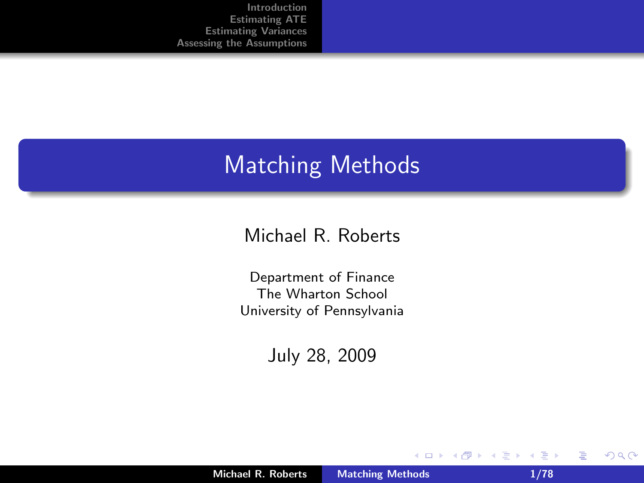#### Matching Methods

#### Michael R. Roberts

Department of Finance The Wharton School University of Pennsylvania

July 28, 2009

 $\sim$ 

重

<span id="page-0-0"></span> $2Q$ 

**K ロ ▶ K 倒 ▶**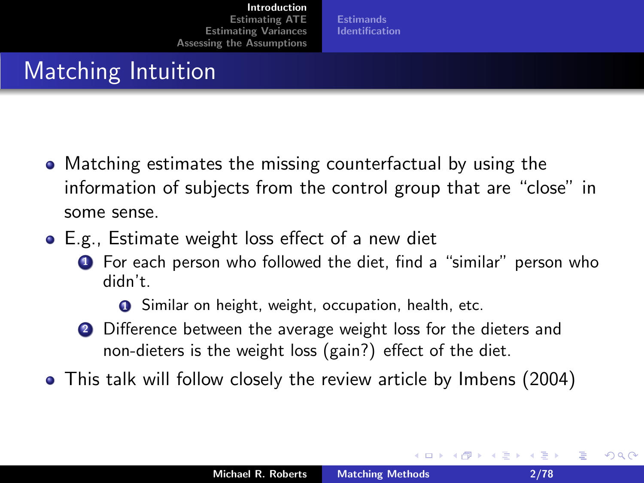**[Estimands](#page-6-0)** [Identification](#page-7-0)

## Matching Intuition

- Matching estimates the missing counterfactual by using the information of subjects from the control group that are "close" in some sense.
- E.g., Estimate weight loss effect of a new diet
	- **1** For each person who followed the diet, find a "similar" person who didn't.

**O** Similar on height, weight, occupation, health, etc.

- **2** Difference between the average weight loss for the dieters and non-dieters is the weight loss (gain?) effect of the diet.
- This talk will follow closely the review article by Imbens (2004)

<span id="page-1-0"></span>へのへ

澄後 メ澄き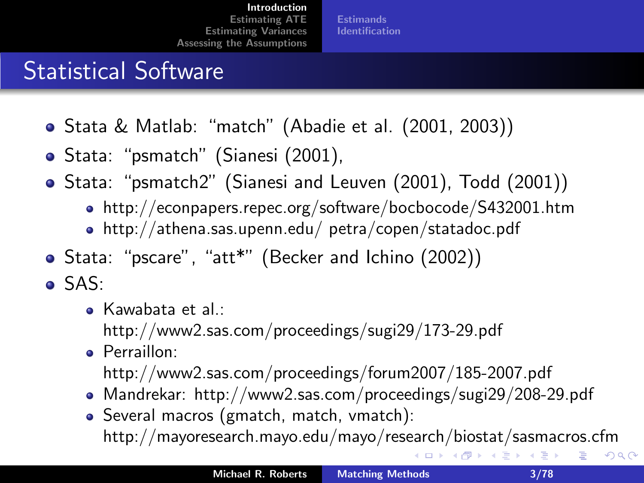**[Estimands](#page-6-0)** [Identification](#page-7-0)

### Statistical Software

- Stata & Matlab: "match" (Abadie et al. (2001, 2003))
- Stata: "psmatch" (Sianesi (2001),
- Stata: "psmatch2" (Sianesi and Leuven (2001), Todd (2001))
	- http://econpapers.repec.org/software/bocbocode/S432001.htm
	- http://athena.sas.upenn.edu/ petra/copen/statadoc.pdf
- Stata: "pscare", "att\*" (Becker and Ichino (2002))
- SAS:
	- Kawabata et al.:
		- http://www2.sas.com/proceedings/sugi29/173-29.pdf
	- **•** Perraillon:
		- http://www2.sas.com/proceedings/forum2007/185-2007.pdf
	- Mandrekar: http://www2.sas.com/proceedings/sugi29/208-29.pdf
	- Several macros (gmatch, match, vmatch): http://mayoresearch.mayo.edu/mayo/research/biostat/sasmacros.cfm

 $2Q$ 

唾

←ロメ (御) (き) (き)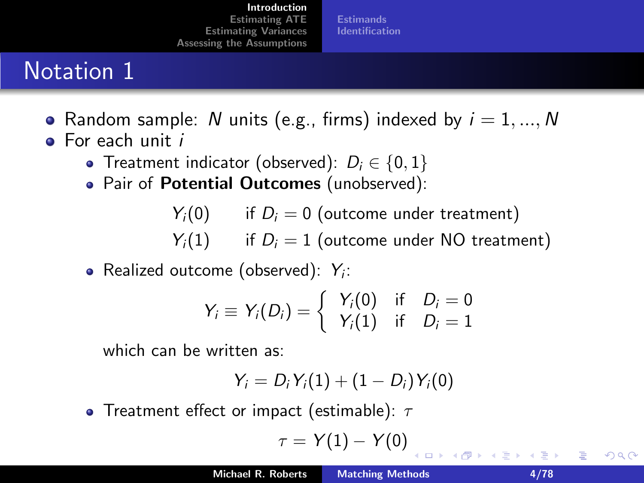**[Estimands](#page-6-0)** [Identification](#page-7-0)

## Notation 1

- Random sample: N units (e.g., firms) indexed by  $i = 1, ..., N$
- **•** For each unit *i* 
	- Treatment indicator (observed):  $D_i \in \{0, 1\}$
	- Pair of Potential Outcomes (unobserved):

 $Y_i(0)$  if  $D_i = 0$  (outcome under treatment)

 $Y_i(1)$  if  $D_i = 1$  (outcome under NO treatment)

Realized outcome (observed):  $Y_i$ :

$$
Y_i \equiv Y_i(D_i) = \left\{\begin{array}{ll} Y_i(0) & \text{if} \quad D_i = 0 \\ Y_i(1) & \text{if} \quad D_i = 1 \end{array}\right.
$$

which can be written as:

$$
Y_i=D_i\,Y_i(1)+(1-D_i)\,Y_i(0)
$$

• Treatment effect or impact (estimable):  $\tau$ 

$$
\tau=Y(1)-Y(0)
$$

<span id="page-3-0"></span>つくい

造る メ告ず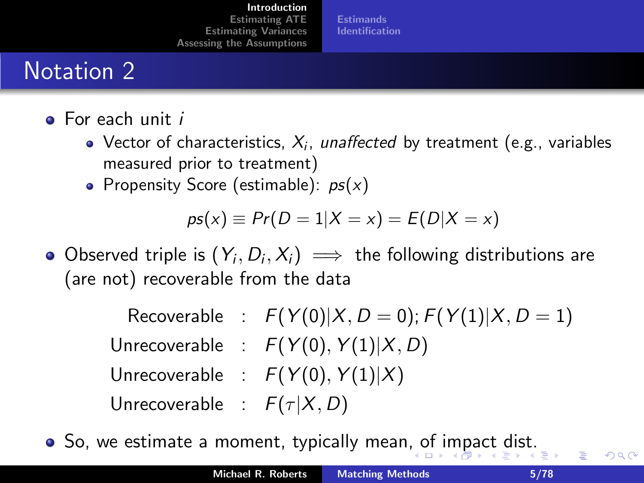**[Estimands](#page-6-0)** [Identification](#page-7-0)

### Notation 2

- **•** For each unit *i* 
	- Vector of characteristics,  $X_i$ , *unaffected* by treatment (e.g., variables measured prior to treatment)
	- Propensity Score (estimable):  $ps(x)$

$$
ps(x) \equiv Pr(D = 1|X = x) = E(D|X = x)
$$

Observed triple is  $(Y_i, D_i, X_i) \implies$  the following distributions are (are not) recoverable from the data

> Recoverable :  $F(Y(0)|X, D = 0)$ ;  $F(Y(1)|X, D = 1)$ Unrecoverable :  $F(Y(0), Y(1)|X, D)$ Unrecoverable :  $F(Y(0), Y(1)|X)$ Unrecoverable :  $F(\tau | X, D)$

 $\bullet$  $\bullet$  So, we estimate a moment, typically mean[, o](#page-3-0)[f i](#page-5-0)[m](#page-3-0)[p](#page-4-0)[ac](#page-5-0)t[d](#page-5-0)[is](#page-6-0)[t.](#page-0-0)

重

<span id="page-4-0"></span>つくい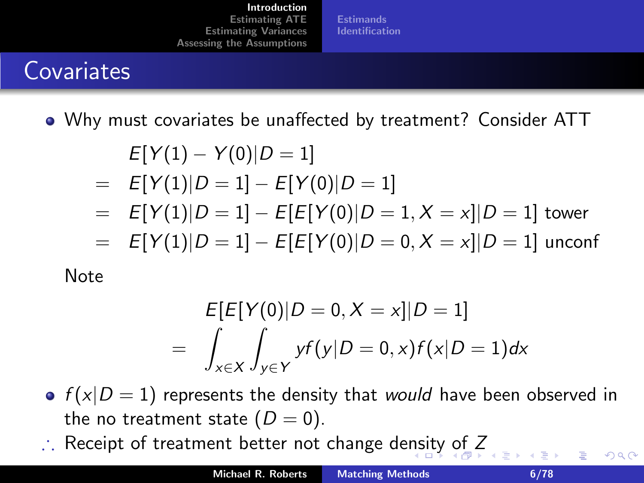**[Estimands](#page-6-0)** [Identification](#page-7-0)

## **Covariates**

Why must covariates be unaffected by treatment? Consider ATT

$$
E[Y(1) - Y(0)|D = 1]
$$
  
=  $E[Y(1)|D = 1] - E[Y(0)|D = 1]$   
=  $E[Y(1)|D = 1] - E[E[Y(0)|D = 1, X = x]|D = 1]$  tower  
=  $E[Y(1)|D = 1] - E[E[Y(0)|D = 0, X = x]|D = 1]$  unconf

Note

$$
E[E[Y(0)|D = 0, X = x]|D = 1]
$$
  
=  $\int_{x \in X} \int_{y \in Y} yf(y|D = 0, x)f(x|D = 1)dx$ 

- $f(x|D = 1)$  represents the density that would have been observed in the no treatment state  $(D = 0)$ .
- Receipt of treatment better not change de[ns](#page-4-0)i[ty](#page-6-0) [o](#page-4-0)[f](#page-5-0)  $Z$

<span id="page-5-0"></span> $\Omega$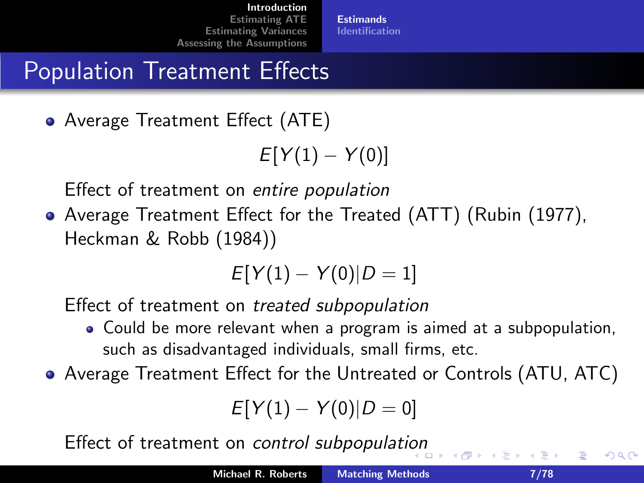# Population Treatment Effects

Average Treatment Effect (ATE)

```
E[Y(1) - Y(0)]
```
Effect of treatment on entire population

Average Treatment Effect for the Treated (ATT) (Rubin (1977), Heckman & Robb (1984))

$$
E[Y(1) - Y(0)|D = 1]
$$

Effect of treatment on treated subpopulation

- Could be more relevant when a program is aimed at a subpopulation, such as disadvantaged individuals, small firms, etc.
- Average Treatment Effect for the Untreated or Controls (ATU, ATC)

$$
E[Y(1) - Y(0)|D = 0]
$$

Effect of treatment on control subpopulati[on](#page-5-0)

<span id="page-6-0"></span>∽≏ດ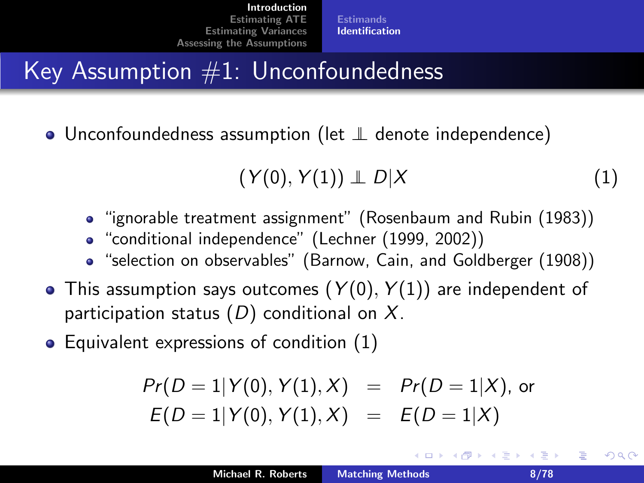**[Estimands](#page-6-0)** [Identification](#page-7-0)

## Key Assumption  $#1$ : Unconfoundedness

• Unconfoundedness assumption (let ⊥ denote independence)

<span id="page-7-1"></span>
$$
(Y(0), Y(1)) \perp D|X \qquad (1)
$$

 $\leftarrow$   $\Box$   $\rightarrow$   $\leftarrow$   $\Box$   $\rightarrow$ 

- "ignorable treatment assignment" (Rosenbaum and Rubin (1983))
- "conditional independence" (Lechner (1999, 2002))
- "selection on observables" (Barnow, Cain, and Goldberger (1908))
- $\bullet$  This assumption says outcomes  $(Y(0), Y(1))$  are independent of participation status  $(D)$  conditional on X.
- Equivalent expressions of condition  $(1)$

$$
Pr(D = 1 | Y(0), Y(1), X) = Pr(D = 1 | X),
$$
or  

$$
E(D = 1 | Y(0), Y(1), X) = E(D = 1 | X)
$$

<span id="page-7-0"></span>つくい

メミメ メミメ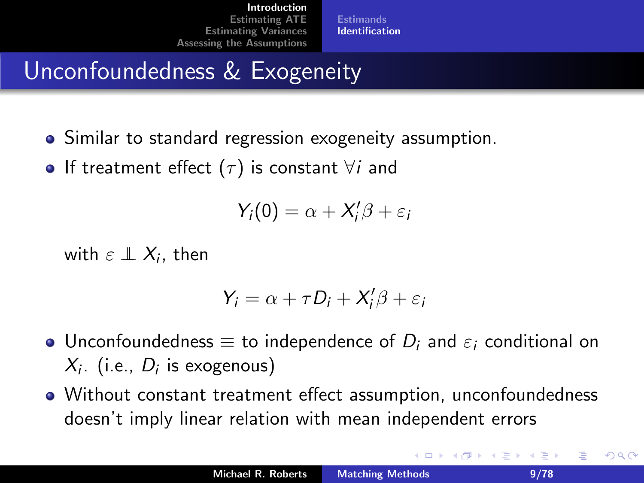# Unconfoundedness & Exogeneity

- Similar to standard regression exogeneity assumption.
- **•** If treatment effect ( $\tau$ ) is constant  $\forall i$  and

$$
Y_i(0)=\alpha+X_i'\beta+\varepsilon_i
$$

with  $\varepsilon \perp \!\!\! \perp X_i$ , then

$$
Y_i = \alpha + \tau D_i + X_i'\beta + \varepsilon_i
$$

- Unconfoundedness  $\equiv$  to independence of  $D_i$  and  $\varepsilon_i$  conditional on  $X_i$ . (i.e.,  $D_i$  is exogenous)
- Without constant treatment effect assumption, unconfoundedness doesn't imply linear relation with mean independent errors

K 로 )

つくい

4 n + 4 n +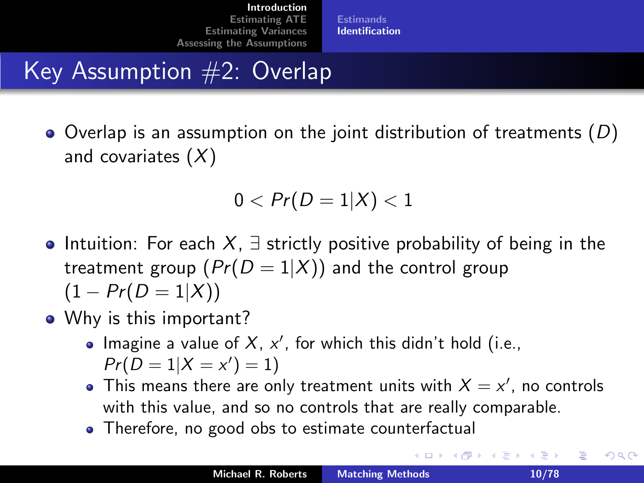## Key Assumption #2: Overlap

 $\bullet$  Overlap is an assumption on the joint distribution of treatments (D) and covariates  $(X)$ 

$$
0 < Pr(D=1|X) < 1
$$

- Intuition: For each X,  $\exists$  strictly positive probability of being in the treatment group  $(Pr(D = 1|X))$  and the control group  $(1 - Pr(D = 1|X))$
- Why is this important?
	- Imagine a value of  $X$ ,  $x'$ , for which this didn't hold (i.e.,  $Pr(D = 1 | X = x') = 1)$
	- This means there are only treatment units with  $X = x'$ , no controls with this value, and so no controls that are really comparable.
	- Therefore, no good obs to estimate counterfactual

重

つくい

重き メミメ

4 n + 4 n +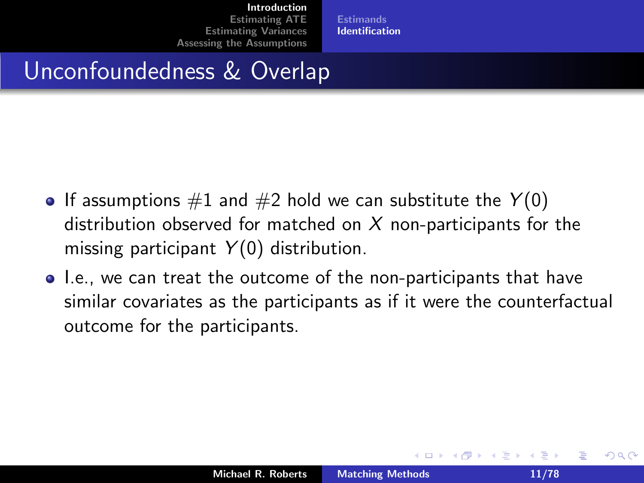[Estimands](#page-6-0) [Identification](#page-7-0)

#### Unconfoundedness & Overlap

- If assumptions  $\#1$  and  $\#2$  hold we can substitute the  $Y(0)$ distribution observed for matched on  $X$  non-participants for the missing participant  $Y(0)$  distribution.
- I.e., we can treat the outcome of the non-participants that have similar covariates as the participants as if it were the counterfactual outcome for the participants.

 $4.17 \times$ 

へのへ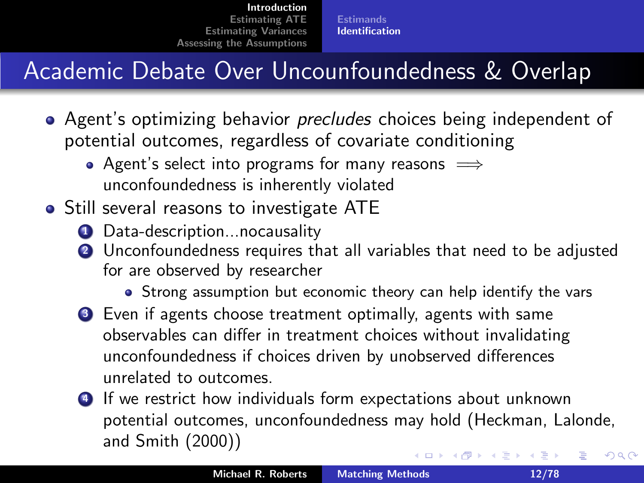## Academic Debate Over Uncounfoundedness & Overlap

- Agent's optimizing behavior *precludes* choices being independent of potential outcomes, regardless of covariate conditioning
	- Agent's select into programs for many reasons  $\implies$ unconfoundedness is inherently violated
- **•** Still several reasons to investigate ATE
	- **1** Data-description...nocausality
	- 2 Unconfoundedness requires that all variables that need to be adjusted for are observed by researcher
		- Strong assumption but economic theory can help identify the vars
	- <sup>3</sup> Even if agents choose treatment optimally, agents with same observables can differ in treatment choices without invalidating unconfoundedness if choices driven by unobserved differences unrelated to outcomes.
	- <sup>4</sup> If we restrict how individuals form expectations about unknown potential outcomes, unconfoundedness may hold (Heckman, Lalonde, and Smith (2000)) メロメ メ御 メメ ミメメ ミメ へのへ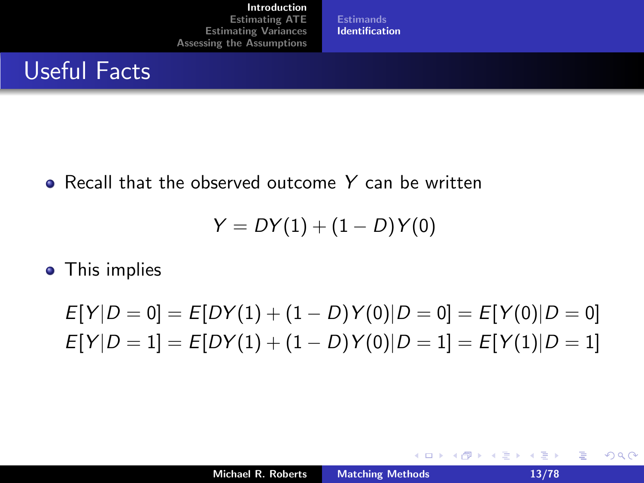[Estimands](#page-6-0) [Identification](#page-7-0)

#### Useful Facts

• Recall that the observed outcome Y can be written

$$
Y = DY(1) + (1 - D)Y(0)
$$

• This implies

 $E[Y|D = 0] = E[DY(1) + (1 - D)Y(0)|D = 0] = E[Y(0)|D = 0]$  $E[Y|D = 1] = E[DY(1) + (1 - D)Y(0)|D = 1] = E[Y(1)|D = 1]$ 

 $\equiv$ 

 $2Q$ 

K ロ ⊁ K 倒 ≯ K ミ ⊁ K ミ ⊁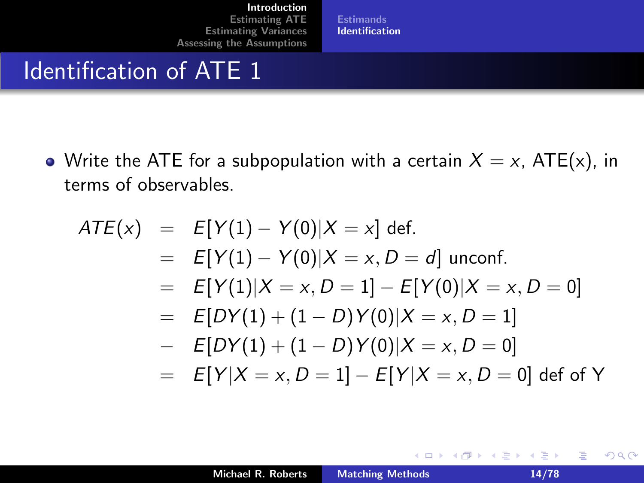[Estimands](#page-6-0) **[Identification](#page-7-0)** 

#### Identification of ATE 1

• Write the ATE for a subpopulation with a certain  $X = x$ , ATE(x), in terms of observables.

$$
ATE(x) = E[Y(1) - Y(0)|X = x] \text{ def.}
$$
  
=  $E[Y(1) - Y(0)|X = x, D = d]$  unconf.  
=  $E[Y(1)|X = x, D = 1] - E[Y(0)|X = x, D = 0]$   
=  $E[DY(1) + (1 - D)Y(0)|X = x, D = 1]$   
-  $E[DY(1) + (1 - D)Y(0)|X = x, D = 0]$   
=  $E[Y|X = x, D = 1] - E[Y|X = x, D = 0] \text{ def of Y}$ 

重

 $2Q$ 

**≮ロ ▶ ⊀ 御 ▶ ⊀ 君 ▶ ⊀ 君 ▶**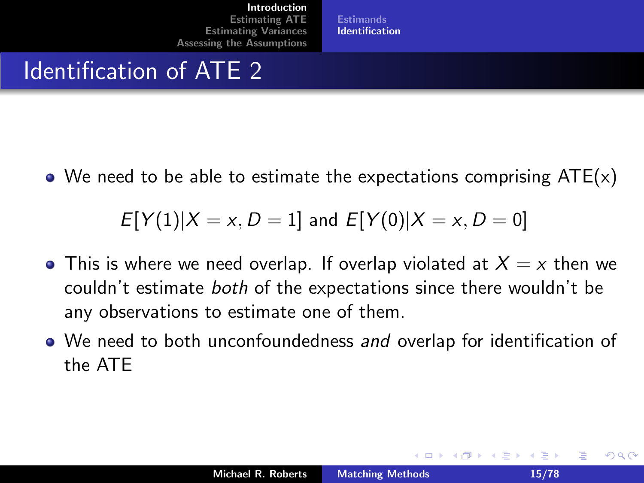[Estimands](#page-6-0) [Identification](#page-7-0)

#### Identification of ATE 2

 $\bullet$  We need to be able to estimate the expectations comprising ATE(x)

$$
E[Y(1)|X = x, D = 1]
$$
 and  $E[Y(0)|X = x, D = 0]$ 

- This is where we need overlap. If overlap violated at  $X = x$  then we couldn't estimate both of the expectations since there wouldn't be any observations to estimate one of them.
- We need to both unconfoundedness and overlap for identification of the ATE

へのへ

결 시 시 결 시

 $\leftarrow$   $\leftarrow$   $\leftarrow$   $\leftarrow$   $\leftarrow$   $\leftarrow$   $\leftarrow$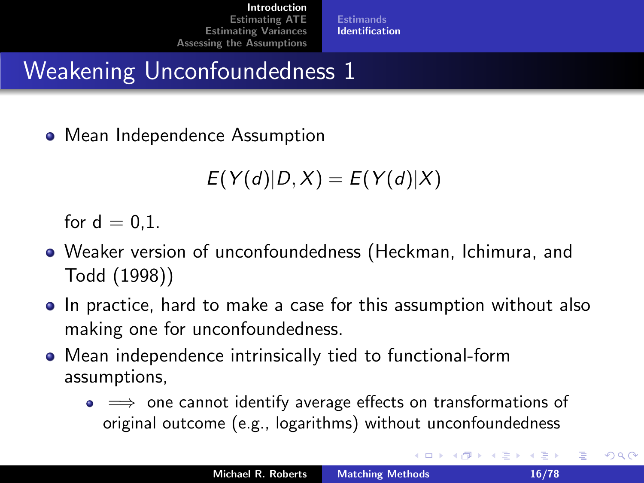## Weakening Unconfoundedness 1

• Mean Independence Assumption

$$
E(Y(d)|D,X)=E(Y(d)|X)
$$

for  $d = 0.1$ .

- Weaker version of unconfoundedness (Heckman, Ichimura, and Todd (1998))
- In practice, hard to make a case for this assumption without also making one for unconfoundedness.
- Mean independence intrinsically tied to functional-form assumptions,
	- $\bullet \implies$  one cannot identify average effects on transformations of original outcome (e.g., logarithms) without unconfoundedness

へのへ

4 n + 4 n +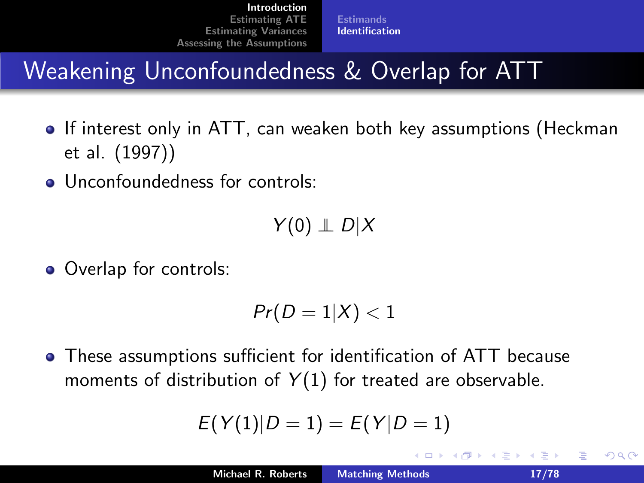[Estimands](#page-6-0) [Identification](#page-7-0)

## Weakening Unconfoundedness & Overlap for ATT

- If interest only in ATT, can weaken both key assumptions (Heckman et al. (1997))
- **Q.** Unconfoundedness for controls:

 $Y(0) \perp D \mid X$ 

• Overlap for controls:

$$
Pr(D=1|X)<1
$$

These assumptions sufficient for identification of ATT because moments of distribution of  $Y(1)$  for treated are observable.

$$
E(Y(1)|D=1)=E(Y|D=1)
$$

 $\leftarrow$   $\Box$ 

へのへ

결 시 시 결 시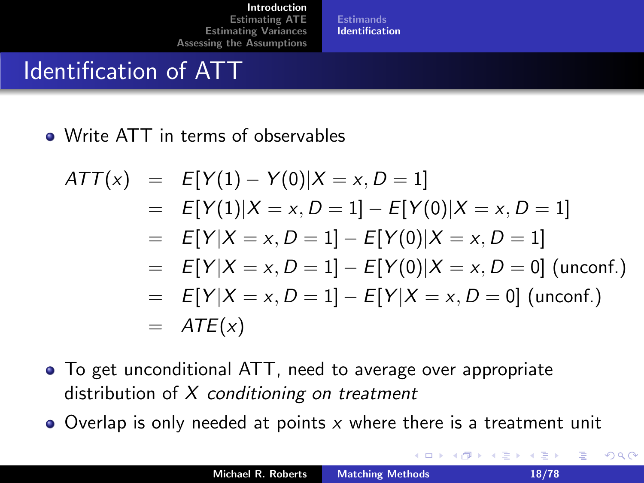[Estimands](#page-6-0) [Identification](#page-7-0)

#### Identification of ATT

• Write ATT in terms of observables

$$
ATT(x) = E[Y(1) - Y(0)|X = x, D = 1]
$$
  
= E[Y(1)|X = x, D = 1] - E[Y(0)|X = x, D = 1]  
= E[Y|X = x, D = 1] - E[Y(0)|X = x, D = 1]  
= E[Y|X = x, D = 1] - E[Y(0)|X = x, D = 0] (unconf.)  
= E[Y|X = x, D = 1] - E[Y|X = x, D = 0] (unconf.)  
= ATE(x)

- To get unconditional ATT, need to average over appropriate distribution of  $X$  conditioning on treatment
- $\bullet$  Overlap is only needed at points x where there is a treatment unit

 $\leftarrow$   $\leftarrow$   $\leftarrow$   $\leftarrow$   $\leftarrow$   $\leftarrow$   $\leftarrow$ 

 $2Q$ 

目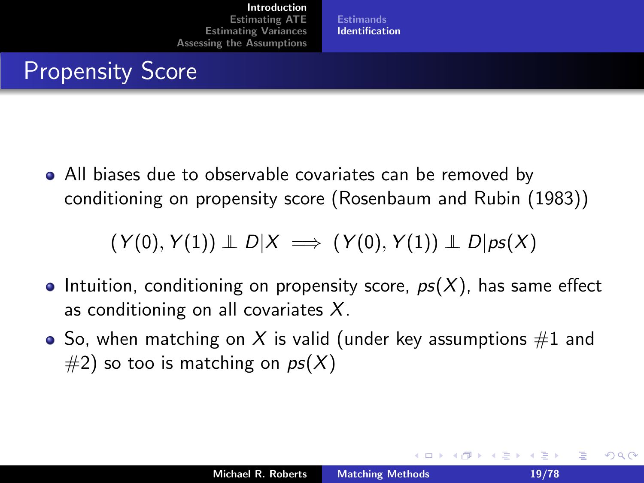[Estimands](#page-6-0) [Identification](#page-7-0)

#### Propensity Score

All biases due to observable covariates can be removed by conditioning on propensity score (Rosenbaum and Rubin (1983))

$$
(Y(0), Y(1)) \perp D|X \implies (Y(0), Y(1)) \perp D|ps(X)
$$

- **Intuition, conditioning on propensity score,**  $ps(X)$ **, has same effect** as conditioning on all covariates  $X$ .
- So, when matching on X is valid (under key assumptions  $#1$  and  $#2$ ) so too is matching on  $ps(X)$

<span id="page-18-0"></span>へのへ

造る メ告ず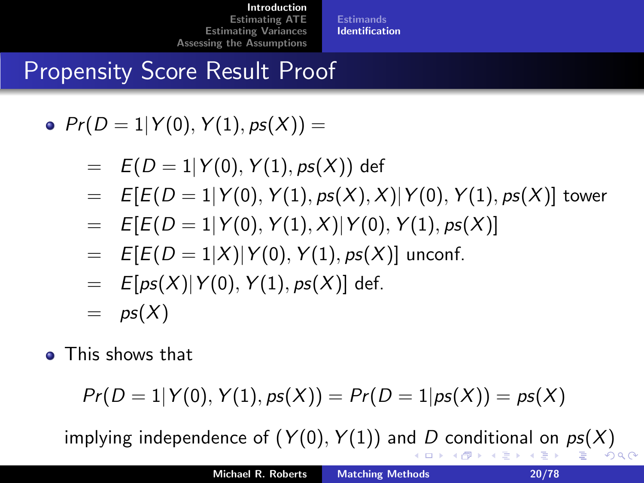**[Estimands](#page-6-0)** [Identification](#page-7-0)

## Propensity Score Result Proof

•  $Pr(D = 1 | Y(0), Y(1), ps(X)) =$ 

- $= E(D = 1|Y(0), Y(1), ps(X))$  def
- $= E[E(D = 1|Y(0), Y(1), ps(X), X]|Y(0), Y(1), ps(X)]$  tower
- $= E[E(D = 1|Y(0), Y(1), X)|Y(0), Y(1), ps(X)]$
- $= E[E(D = 1|X)|Y(0), Y(1), ps(X)]$  unconf.
- $=$   $E[ps(X)|Y(0), Y(1), ps(X)]$  def.
- $=$   $ps(X)$
- **•** This shows that

<span id="page-19-0"></span>
$$
Pr(D = 1 | Y(0), Y(1), ps(X)) = Pr(D = 1 | ps(X)) = ps(X)
$$

implying in[d](#page-18-0)ependen[c](#page-18-0)e [o](#page-1-0)f  $(Y(0), Y(1))$  and D c[on](#page-19-0)[di](#page-20-0)[t](#page-6-0)[io](#page-7-0)[n](#page-21-0)[a](#page-21-0)[l](#page-0-0) on  $ps(X)$  $ps(X)$  $ps(X)$  $ps(X)$ K 등 > K 등  $\Omega$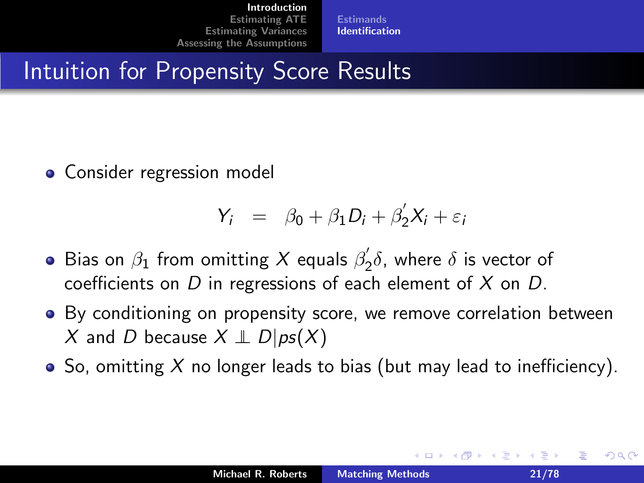[Estimands](#page-6-0) [Identification](#page-7-0)

#### Intuition for Propensity Score Results

• Consider regression model

$$
Y_i = \beta_0 + \beta_1 D_i + \beta_2' X_i + \varepsilon_i
$$

- Bias on  $\beta_1$  from omitting  $X$  equals  $\beta_2'$  $\zeta_2\delta$ , where  $\delta$  is vector of coefficients on  $D$  in regressions of each element of  $X$  on  $D$ .
- By conditioning on propensity score, we remove correlation between X and D because  $X \perp\!\!\!\perp D|ps(X)$
- $\bullet$  So, omitting X no longer leads to bias (but may lead to inefficiency).

 $4.17 \times$ 

<span id="page-20-0"></span>へのへ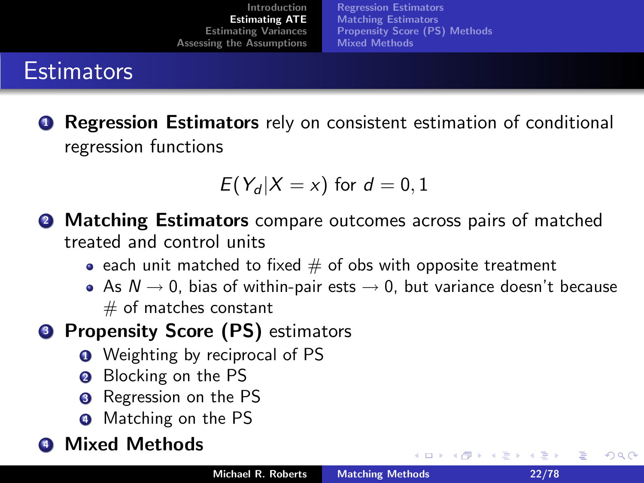[Regression Estimators](#page-22-0) [Matching Estimators](#page-36-0) [Propensity Score \(PS\) Methods](#page-40-0) [Mixed Methods](#page-54-0)

#### **Estimators**

**Q** Regression Estimators rely on consistent estimation of conditional regression functions

$$
E(Y_d|X=x) \text{ for } d=0,1
$$

- **2 Matching Estimators** compare outcomes across pairs of matched treated and control units
	- each unit matched to fixed  $#$  of obs with opposite treatment
	- As  $N \rightarrow 0$ , bias of within-pair ests  $\rightarrow 0$ , but variance doesn't because  $#$  of matches constant
- <sup>3</sup> Propensity Score (PS) estimators
	- **1** Weighting by reciprocal of PS
	- Blocking on the PS
	- **3** Regression on the PS
	- **4** Matching on the PS

#### **Mixed Methods**

**K ロ ▶ K 倒 ▶** 

<span id="page-21-0"></span>つくい

澄後 メ澄き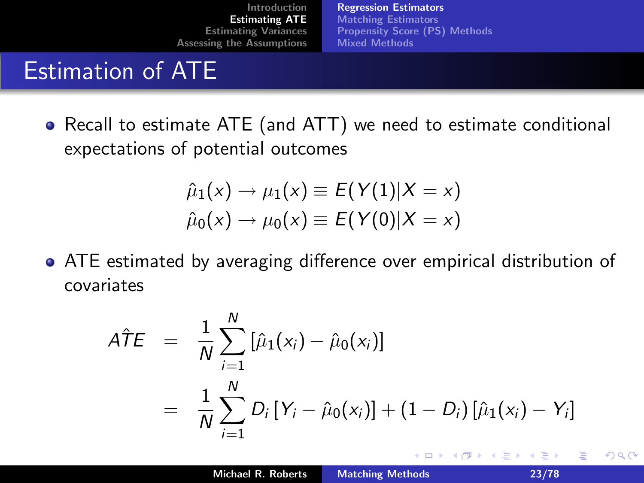[Regression Estimators](#page-22-0) [Matching Estimators](#page-36-0) [Propensity Score \(PS\) Methods](#page-40-0) [Mixed Methods](#page-54-0)

#### Estimation of ATE

Recall to estimate ATE (and ATT) we need to estimate conditional expectations of potential outcomes

$$
\hat{\mu}_1(x) \to \mu_1(x) \equiv E(Y(1)|X=x) \n\hat{\mu}_0(x) \to \mu_0(x) \equiv E(Y(0)|X=x)
$$

ATE estimated by averaging difference over empirical distribution of covariates

$$
\begin{array}{lcl} A\hat{T}E & = & \displaystyle \frac{1}{N}\sum_{i=1}^N\left[\hat{\mu}_1(x_i)-\hat{\mu}_0(x_i)\right] \\ \\ & = & \displaystyle \frac{1}{N}\sum_{i=1}^N D_i\left[Y_i-\hat{\mu}_0(x_i)\right] + \left(1-D_i\right)\left[\hat{\mu}_1(x_i)-Y_i\right] \end{array}
$$

<span id="page-22-0"></span> $2Q$ 

重き メミメ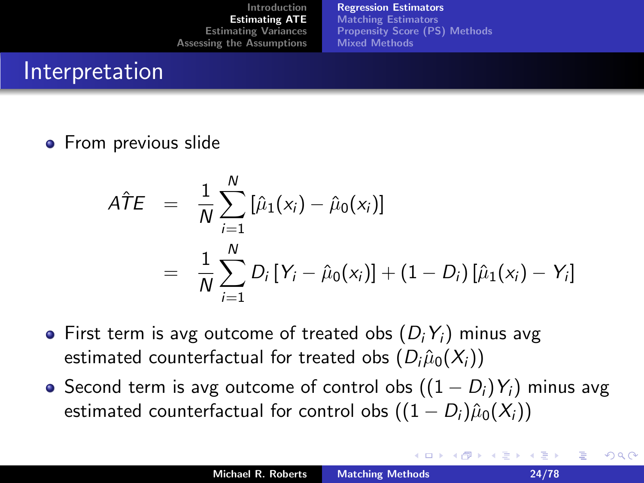[Regression Estimators](#page-22-0) [Matching Estimators](#page-36-0) [Propensity Score \(PS\) Methods](#page-40-0) [Mixed Methods](#page-54-0)

#### Interpretation

**•** From previous slide

$$
\hat{ATE} = \frac{1}{N} \sum_{i=1}^{N} [\hat{\mu}_1(x_i) - \hat{\mu}_0(x_i)]
$$
  
= 
$$
\frac{1}{N} \sum_{i=1}^{N} D_i [Y_i - \hat{\mu}_0(x_i)] + (1 - D_i) [\hat{\mu}_1(x_i) - Y_i]
$$

- First term is avg outcome of treated obs  $(D_i Y_i)$  minus avg estimated counterfactual for treated obs  $(D_i \hat{\mu}_0(X_i))$
- $\bullet$  Second term is avg outcome of control obs  $((1 D_i)Y_i)$  minus avg estimated counterfactual for control obs  $((1 - D_i)\hat{\mu}_0(X_i))$

つくい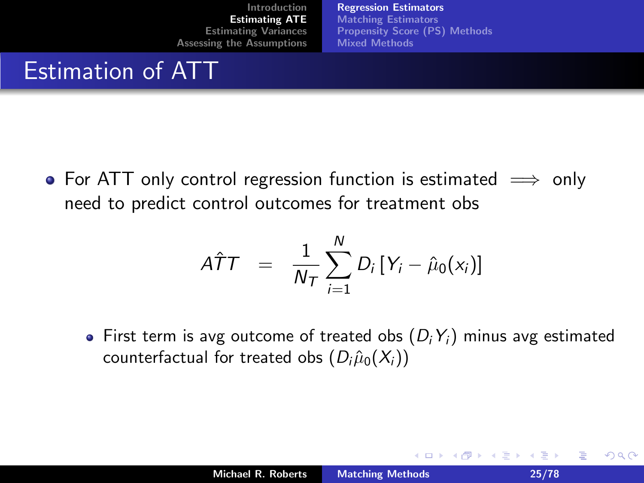[Regression Estimators](#page-22-0) [Matching Estimators](#page-36-0) [Propensity Score \(PS\) Methods](#page-40-0) [Mixed Methods](#page-54-0)

#### Estimation of ATT

• For ATT only control regression function is estimated  $\implies$  only need to predict control outcomes for treatment obs

$$
\hat{ATT} = \frac{1}{N_T} \sum_{i=1}^{N} D_i \left[ Y_i - \hat{\mu}_0(x_i) \right]
$$

• First term is avg outcome of treated obs  $(D_i Y_i)$  minus avg estimated counterfactual for treated obs  $(D_i \hat{\mu}_0(X_i))$ 

 $2Q$ 

目

④重き ④重き

K ロ ▶ K 倒 ▶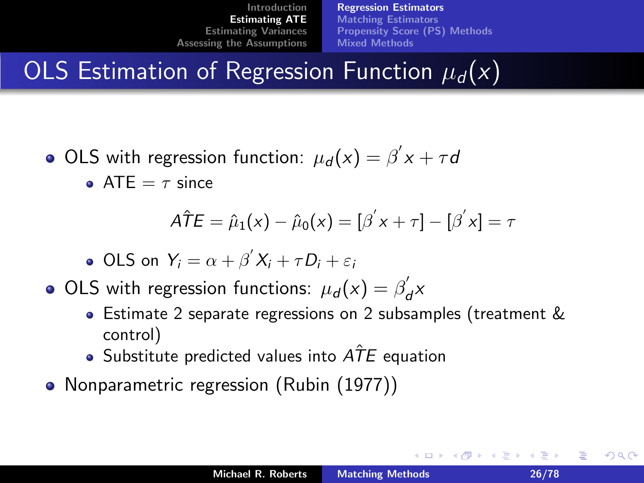[Regression Estimators](#page-22-0) [Matching Estimators](#page-36-0) [Propensity Score \(PS\) Methods](#page-40-0) [Mixed Methods](#page-54-0)

# OLS Estimation of Regression Function  $\mu_d(x)$

OLS with regression function:  $\mu_d(x) = \beta^{'} x + \tau d$ **ATE** =  $\tau$  since

$$
\hat{ATE} = \hat{\mu}_1(x) - \hat{\mu}_0(x) = [\beta' x + \tau] - [\beta' x] = \tau
$$

• OLS on 
$$
Y_i = \alpha + \beta' X_i + \tau D_i + \varepsilon_i
$$

- OLS with regression functions:  $\mu_d(x) = \beta_d'$  $d^{\chi}$ 
	- Estimate 2 separate regressions on 2 subsamples (treatment & control)
	- Substitute predicted values into  $\widehat{ATE}$  equation
- Nonparametric regression (Rubin (1977))

へのへ

4 E 6 4 E 6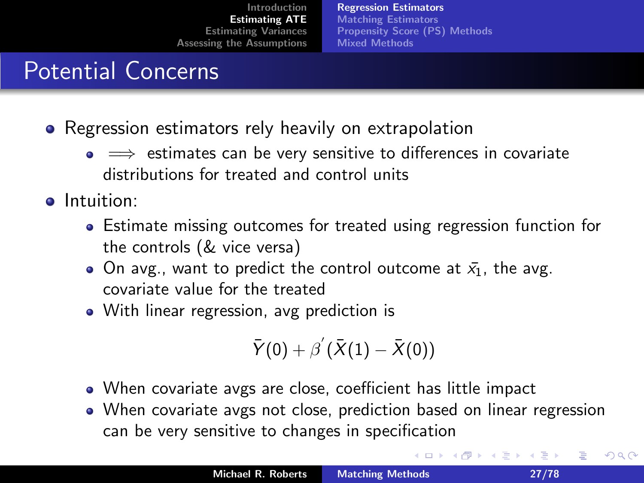[Regression Estimators](#page-22-0) [Matching Estimators](#page-36-0) [Propensity Score \(PS\) Methods](#page-40-0) [Mixed Methods](#page-54-0)

## Potential Concerns

- Regression estimators rely heavily on extrapolation
	- $\bullet \implies$  estimates can be very sensitive to differences in covariate distributions for treated and control units
- **o** Intuition:
	- Estimate missing outcomes for treated using regression function for the controls (& vice versa)
	- On avg., want to predict the control outcome at  $\bar{x}_1$ , the avg. covariate value for the treated
	- With linear regression, avg prediction is

$$
\bar{Y}(0)+\beta^{'}(\bar{X}(1)-\bar{X}(0))
$$

- When covariate avgs are close, coefficient has little impact
- When covariate avgs not close, prediction based on linear regression can be very sensitive to changes in specification

へのへ

∢ □ ▶ ⊣ *∈* D ▶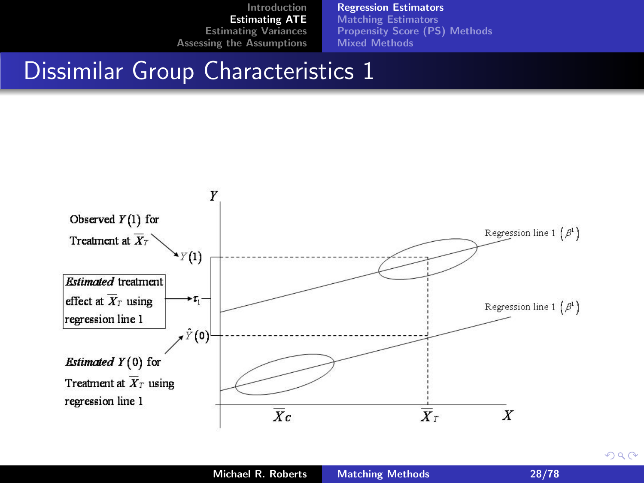[Regression Estimators](#page-22-0)

[Matching Estimators](#page-36-0) [Propensity Score \(PS\) Methods](#page-40-0) [Mixed Methods](#page-54-0)

#### Dissimilar Group Characteristics 1



 $2Q$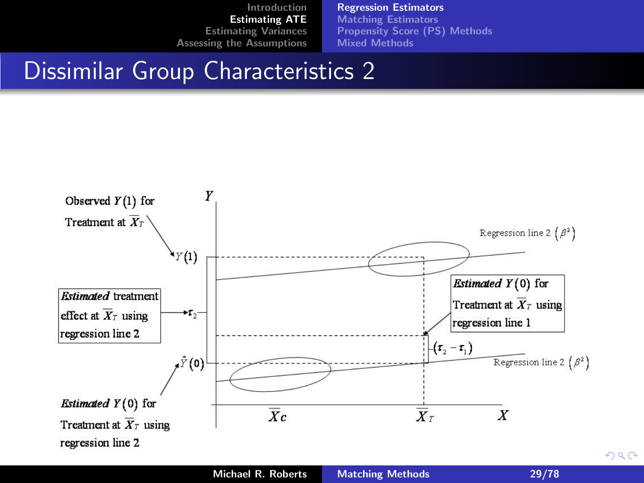[Regression Estimators](#page-22-0)

[Matching Estimators](#page-36-0) [Propensity Score \(PS\) Methods](#page-40-0) [Mixed Methods](#page-54-0)

#### Dissimilar Group Characteristics 2





 $2Q$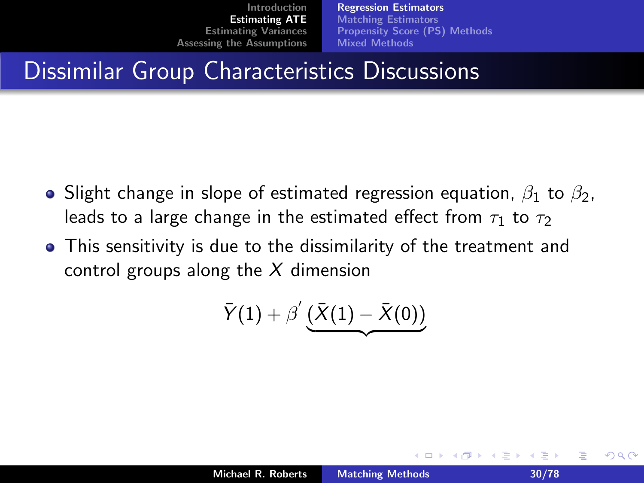[Regression Estimators](#page-22-0) [Matching Estimators](#page-36-0) [Propensity Score \(PS\) Methods](#page-40-0) [Mixed Methods](#page-54-0)

## Dissimilar Group Characteristics Discussions

- **•** Slight change in slope of estimated regression equation,  $\beta_1$  to  $\beta_2$ , leads to a large change in the estimated effect from  $\tau_1$  to  $\tau_2$
- This sensitivity is due to the dissimilarity of the treatment and control groups along the  $X$  dimension

$$
\bar{Y}(1)+\beta^{'}\underbrace{(\bar{X}(1)-\bar{X}(0))}
$$

つくい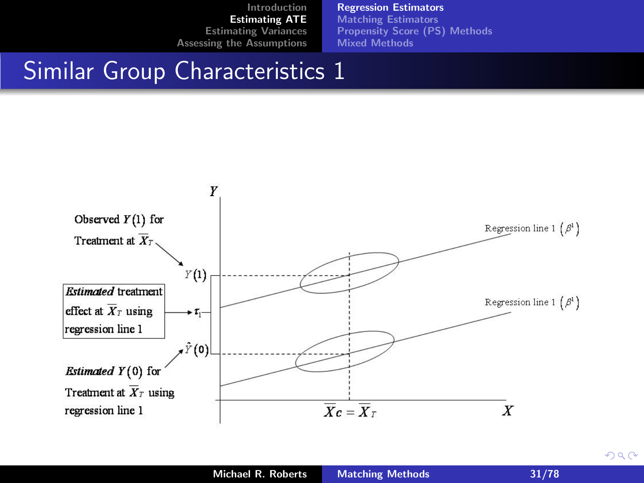[Regression Estimators](#page-22-0)

[Matching Estimators](#page-36-0) [Propensity Score \(PS\) Methods](#page-40-0) [Mixed Methods](#page-54-0)

#### Similar Group Characteristics 1



 $2Q$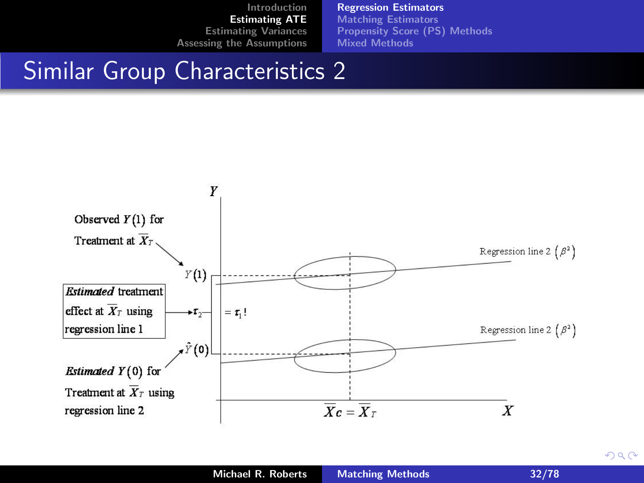[Regression Estimators](#page-22-0)

[Matching Estimators](#page-36-0) [Propensity Score \(PS\) Methods](#page-40-0) [Mixed Methods](#page-54-0)

#### Similar Group Characteristics 2



 $2Q$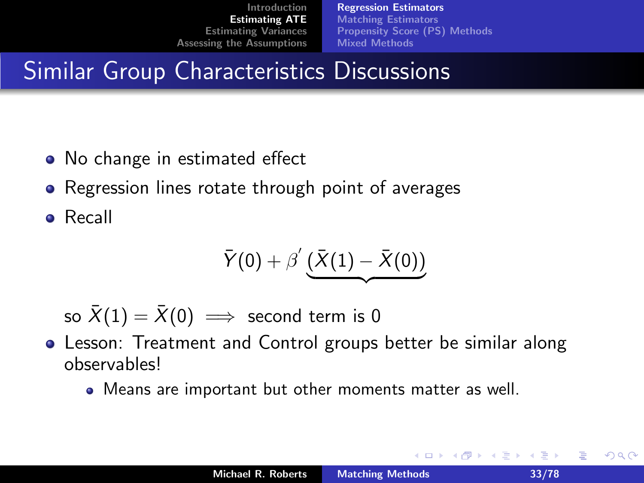[Regression Estimators](#page-22-0) [Matching Estimators](#page-36-0) [Propensity Score \(PS\) Methods](#page-40-0) [Mixed Methods](#page-54-0)

## Similar Group Characteristics Discussions

- No change in estimated effect
- Regression lines rotate through point of averages  $\bullet$
- Recall

$$
\bar{Y}(0)+\beta^{'}\underbrace{(\bar{X}(1)-\bar{X}(0))}
$$

so  $\bar{X}(1) = \bar{X}(0) \implies$  second term is 0

- Lesson: Treatment and Control groups better be similar along observables!
	- Means are important but other moments matter as well.

<span id="page-32-0"></span>へのへ

澄後 メ澄き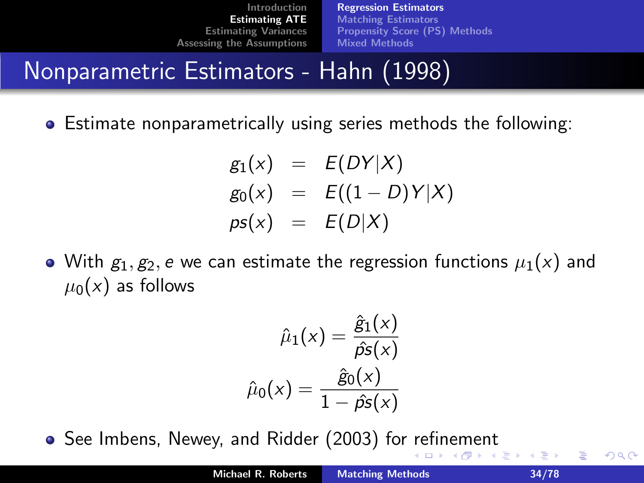[Regression Estimators](#page-22-0) [Matching Estimators](#page-36-0) [Propensity Score \(PS\) Methods](#page-40-0) [Mixed Methods](#page-54-0)

#### Nonparametric Estimators - Hahn (1998)

Estimate nonparametrically using series methods the following:

$$
g_1(x) = E(DY|X)
$$
  
\n
$$
g_0(x) = E((1 - D)Y|X)
$$
  
\n
$$
pS(x) = E(D|X)
$$

• With  $g_1, g_2, e$  we can estimate the regression functions  $\mu_1(x)$  and  $\mu_0(x)$  as follows

$$
\hat{\mu}_1(x) = \frac{\hat{g}_1(x)}{\hat{\rho}s(x)}
$$

$$
\hat{\mu}_0(x) = \frac{\hat{g}_0(x)}{1 - \hat{\rho}s(x)}
$$

See Imbens, Newey, and Ridder (2003) for [re](#page-32-0)[fin](#page-34-0)[e](#page-32-0)[m](#page-33-0)[e](#page-34-0)[nt](#page-21-0)

 $\Box$ - 6 <span id="page-33-0"></span>つくい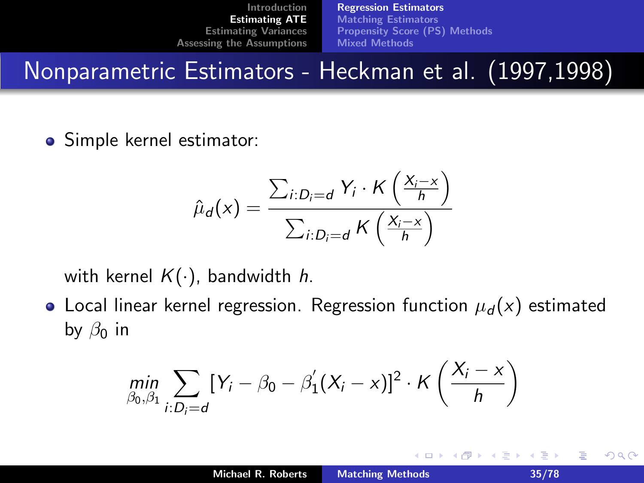[Regression Estimators](#page-22-0) [Matching Estimators](#page-36-0) [Propensity Score \(PS\) Methods](#page-40-0) [Mixed Methods](#page-54-0)

Nonparametric Estimators - Heckman et al. (1997,1998)

• Simple kernel estimator:

$$
\hat{\mu}_d(x) = \frac{\sum_{i:D_i=d} Y_i \cdot K\left(\frac{X_i - x}{h}\right)}{\sum_{i:D_i=d} K\left(\frac{X_i - x}{h}\right)}
$$

with kernel  $K(\cdot)$ , bandwidth h.

• Local linear kernel regression. Regression function  $\mu_d(x)$  estimated by  $\beta_0$  in

$$
\min_{\beta_0,\beta_1}\sum_{i:D_i=d}[Y_i-\beta_0-\beta_1'(X_i-x)]^2\cdot K\left(\frac{X_i-x}{h}\right)
$$

<span id="page-34-0"></span>つくい

④重き ④重き

K ロ ▶ K 倒 ▶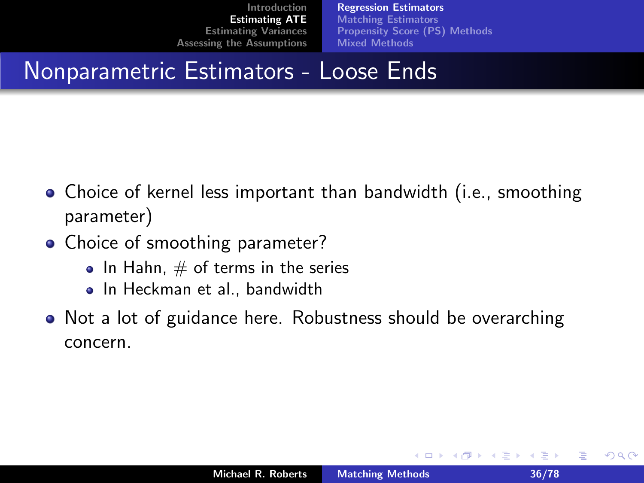[Regression Estimators](#page-22-0) [Matching Estimators](#page-36-0) [Propensity Score \(PS\) Methods](#page-40-0) [Mixed Methods](#page-54-0)

#### Nonparametric Estimators - Loose Ends

- Choice of kernel less important than bandwidth (i.e., smoothing parameter)
- Choice of smoothing parameter?
	- $\bullet$  In Hahn,  $\#$  of terms in the series
	- In Heckman et al., bandwidth
- Not a lot of guidance here. Robustness should be overarching concern.

つくい

결 시 시 결 시

( □ ) ( <sub>□</sub> )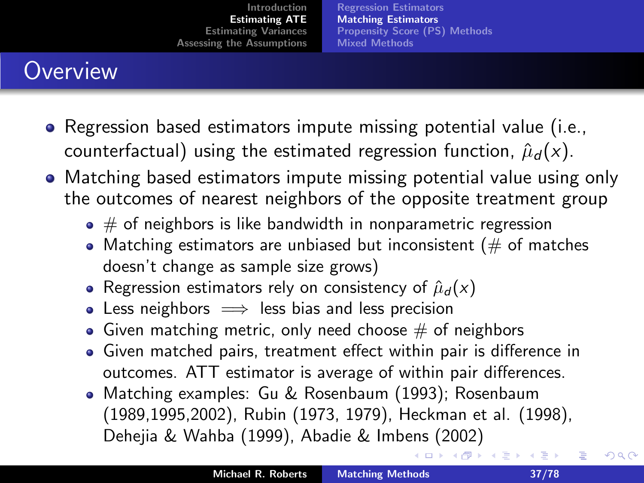[Regression Estimators](#page-22-0) [Matching Estimators](#page-36-0) [Propensity Score \(PS\) Methods](#page-40-0) [Mixed Methods](#page-54-0)

# **Overview**

- Regression based estimators impute missing potential value (i.e., counterfactual) using the estimated regression function,  $\hat{\mu}_d(x)$ .
- Matching based estimators impute missing potential value using only the outcomes of nearest neighbors of the opposite treatment group
	- $\bullet \#$  of neighbors is like bandwidth in nonparametric regression
	- Matching estimators are unbiased but inconsistent ( $#$  of matches doesn't change as sample size grows)
	- Regression estimators rely on consistency of  $\hat{\mu}_d(x)$
	- Less neighbors  $\implies$  less bias and less precision
	- Given matching metric, only need choose  $#$  of neighbors
	- Given matched pairs, treatment effect within pair is difference in outcomes. ATT estimator is average of within pair differences.
	- Matching examples: Gu & Rosenbaum (1993); Rosenbaum (1989,1995,2002), Rubin (1973, 1979), Heckman et al. (1998), Dehejia & Wahba (1999), Abadie & Imbens (2002)

<span id="page-36-0"></span>つへへ

∢ロト ∢母 ▶ ∢ ヨ ▶ ∢ ヨ ▶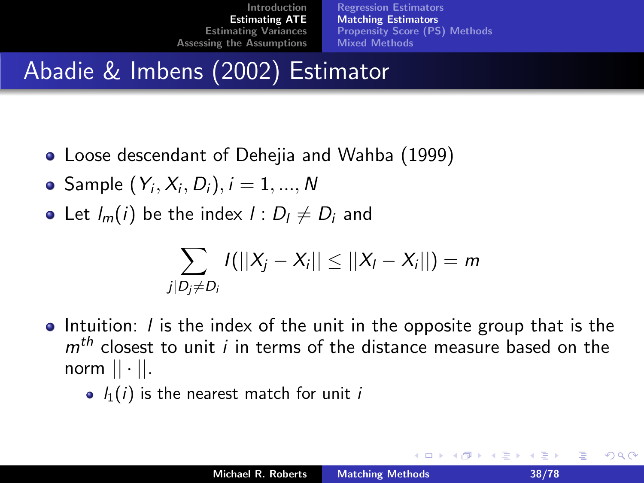[Regression Estimators](#page-22-0) [Matching Estimators](#page-36-0) [Propensity Score \(PS\) Methods](#page-40-0) [Mixed Methods](#page-54-0)

# Abadie & Imbens (2002) Estimator

- Loose descendant of Dehejia and Wahba (1999)
- $\mathsf{Sample}\ (\mathsf{Y}_i,\mathsf{X}_i,\mathsf{D}_i), i=1,..., \mathsf{N}$
- Let  $I_m(i)$  be the index  $I: D_i \neq D_i$  and

$$
\sum_{j|D_j\neq D_i} I(||X_j - X_i|| \leq ||X_i - X_i||) = m
$$

- $\bullet$  Intuition: *l* is the index of the unit in the opposite group that is the  $m<sup>th</sup>$  closest to unit *i* in terms of the distance measure based on the norm  $|| \cdot ||$ .
	- $l_1(i)$  is the nearest match for unit i

つへへ

K ロ ⊁ K 倒 ≯ K ミ ⊁ K ミ ⊁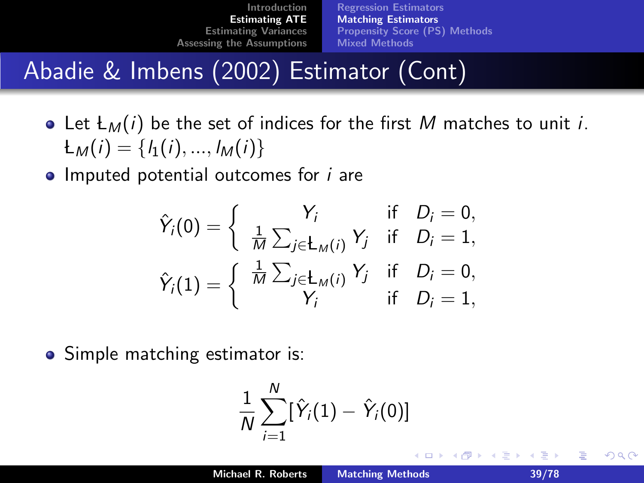[Regression Estimators](#page-22-0) [Matching Estimators](#page-36-0) [Propensity Score \(PS\) Methods](#page-40-0) [Mixed Methods](#page-54-0)

# Abadie & Imbens (2002) Estimator (Cont)

• Let  $L_M(i)$  be the set of indices for the first M matches to unit i.  $L_M(i) = \{l_1(i), ..., l_M(i)\}\$ 

 $\bullet$  Imputed potential outcomes for  $i$  are

$$
\hat{Y}_i(0) = \begin{cases}\nY_i & \text{if } D_i = 0, \\
\frac{1}{M} \sum_{j \in L_M(i)} Y_j & \text{if } D_i = 1, \\
\hat{Y}_i(1) = \begin{cases}\n\frac{1}{M} \sum_{j \in L_M(i)} Y_j & \text{if } D_i = 0, \\
Y_i & \text{if } D_i = 1,\n\end{cases}
$$

• Simple matching estimator is:

$$
\frac{1}{N}\sum_{i=1}^N[\hat{Y}_i(1)-\hat{Y}_i(0)]
$$

つへへ

重き メミメ

 $\leftarrow$   $\cap$   $\rightarrow$   $\leftarrow$   $\cap$   $\rightarrow$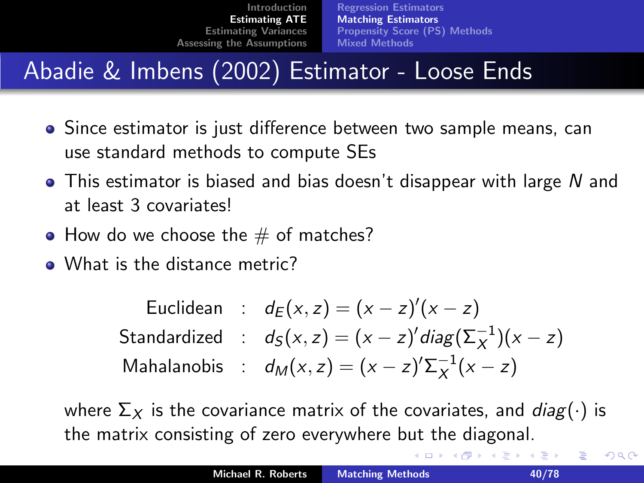[Regression Estimators](#page-22-0) [Matching Estimators](#page-36-0) [Propensity Score \(PS\) Methods](#page-40-0) [Mixed Methods](#page-54-0)

# Abadie & Imbens (2002) Estimator - Loose Ends

- Since estimator is just difference between two sample means, can use standard methods to compute SEs
- $\bullet$  This estimator is biased and bias doesn't disappear with large N and at least 3 covariates!
- How do we choose the  $#$  of matches?
- What is the distance metric?

|  | Euclidean : $d_E(x, z) = (x - z)'(x - z)$                        |
|--|------------------------------------------------------------------|
|  | Standardized : $d_S(x, z) = (x - z)' diag(\Sigma_X^{-1})(x - z)$ |
|  | Mahalanobis : $d_M(x, z) = (x - z)' \Sigma_X^{-1}(x - z)$        |

where  $\Sigma_X$  is the covariance matrix of the covariates, and  $diag(\cdot)$  is the matrix consisting of zero everywhere but the diagonal.

重

 $2Q$ 

メミメ メミメ

(□ ) (@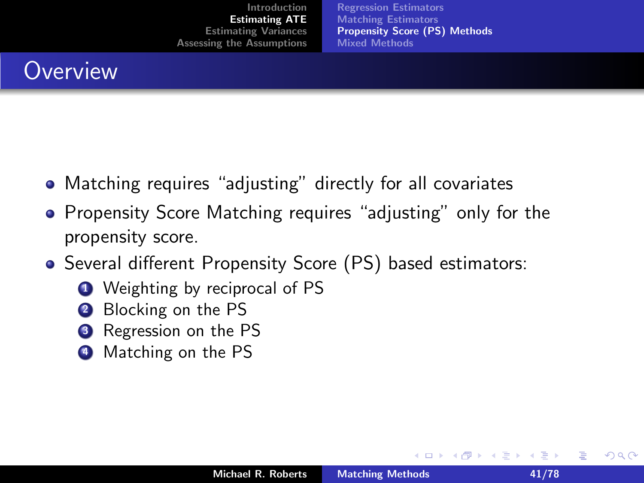[Regression Estimators](#page-22-0) [Matching Estimators](#page-36-0) [Propensity Score \(PS\) Methods](#page-40-0) [Mixed Methods](#page-54-0)

## **Overview**

- Matching requires "adjusting" directly for all covariates
- **Propensity Score Matching requires "adjusting" only for the** propensity score.
- Several different Propensity Score (PS) based estimators:
	- **1** Weighting by reciprocal of PS
	- **2** Blocking on the PS
	- **3** Regression on the PS
	- **4** Matching on the PS

<span id="page-40-0"></span>つくい

E.N.

 $\leftarrow$   $\cap$   $\rightarrow$   $\leftarrow$   $\cap$   $\rightarrow$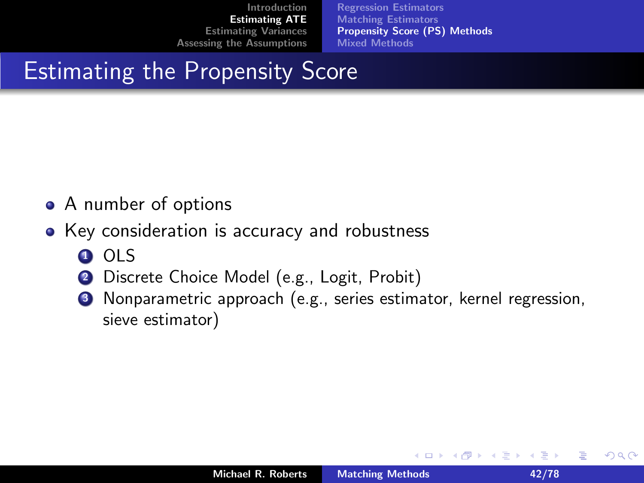[Regression Estimators](#page-22-0) [Matching Estimators](#page-36-0) [Propensity Score \(PS\) Methods](#page-40-0) [Mixed Methods](#page-54-0)

# Estimating the Propensity Score

- A number of options
- Key consideration is accuracy and robustness
	- **0** OLS
	- 2 Discrete Choice Model (e.g., Logit, Probit)
	- **3** Nonparametric approach (e.g., series estimator, kernel regression, sieve estimator)

K ロ ▶ K 倒 ▶

 $2Q$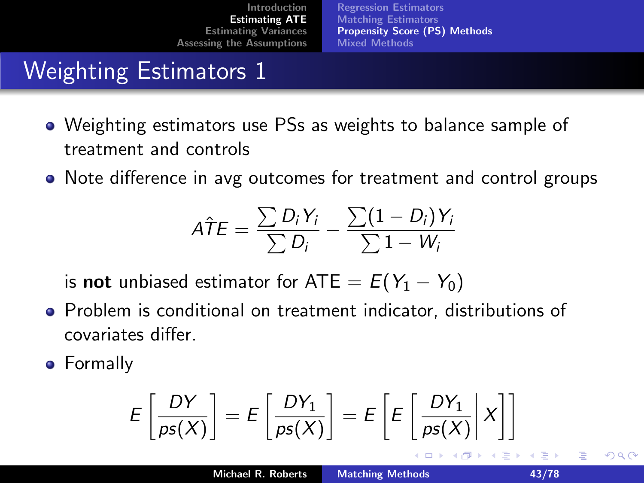[Regression Estimators](#page-22-0) [Matching Estimators](#page-36-0) [Propensity Score \(PS\) Methods](#page-40-0) [Mixed Methods](#page-54-0)

# Weighting Estimators 1

- Weighting estimators use PSs as weights to balance sample of treatment and controls
- Note difference in avg outcomes for treatment and control groups

$$
\hat{ATE} = \frac{\sum D_i Y_i}{\sum D_i} - \frac{\sum (1 - D_i) Y_i}{\sum 1 - W_i}
$$

is **not** unbiased estimator for ATE =  $E(Y_1 - Y_0)$ 

- Problem is conditional on treatment indicator, distributions of covariates differ.
- **•** Formally

$$
E\left[\frac{DY}{ps(X)}\right] = E\left[\frac{DY_1}{ps(X)}\right] = E\left[E\left[\frac{DY_1}{ps(X)}\middle|X\right]\right]
$$

 $\Omega$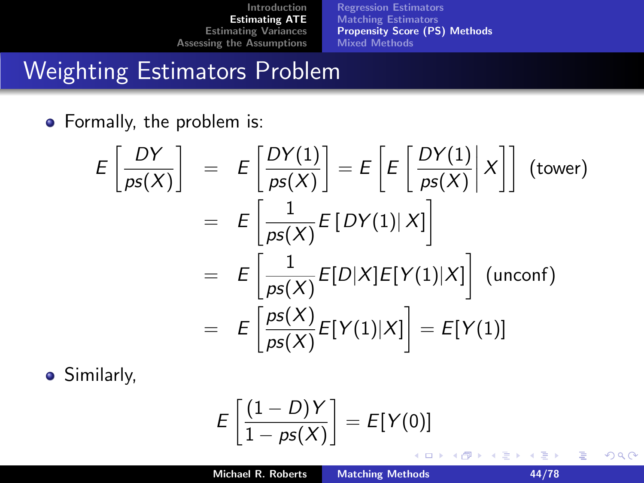[Regression Estimators](#page-22-0) [Matching Estimators](#page-36-0) [Propensity Score \(PS\) Methods](#page-40-0) [Mixed Methods](#page-54-0)

## Weighting Estimators Problem

• Formally, the problem is:

$$
E\left[\frac{DY}{ps(X)}\right] = E\left[\frac{DY(1)}{ps(X)}\right] = E\left[E\left[\frac{DY(1)}{ps(X)}\middle|X\right]\right] \text{ (tower)}
$$

$$
= E\left[\frac{1}{ps(X)}E\left[DY(1)|X\right]\right]
$$

$$
= E\left[\frac{1}{ps(X)}E[D|X]E[Y(1)|X]\right] \text{ (unconf)}
$$

$$
= E\left[\frac{ps(X)}{ps(X)}E[Y(1)|X]\right] = E[Y(1)]
$$

**•** Similarly,

$$
E\left[\frac{(1-D)Y}{1-ps(X)}\right] = E[Y(0)]
$$

重

 $2Q$ 

メミメ メミメ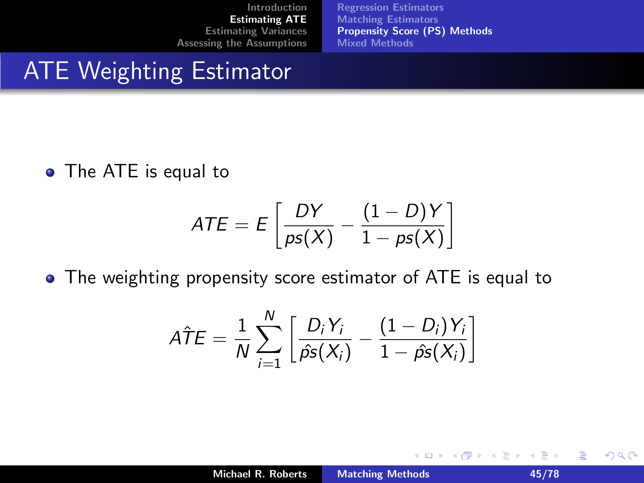[Regression Estimators](#page-22-0) [Matching Estimators](#page-36-0) [Propensity Score \(PS\) Methods](#page-40-0) [Mixed Methods](#page-54-0)

#### ATE Weighting Estimator

• The ATE is equal to

$$
ATE = E\left[\frac{DY}{ps(X)} - \frac{(1-D)Y}{1-ps(X)}\right]
$$

• The weighting propensity score estimator of ATE is equal to

$$
\hat{ATE} = \frac{1}{N} \sum_{i=1}^{N} \left[ \frac{D_i Y_i}{\hat{ps}(X_i)} - \frac{(1 - D_i) Y_i}{1 - \hat{ps}(X_i)} \right]
$$

 $\sim$ 

 $2Q$ 

目

**←ロ ▶ → 伊 ▶**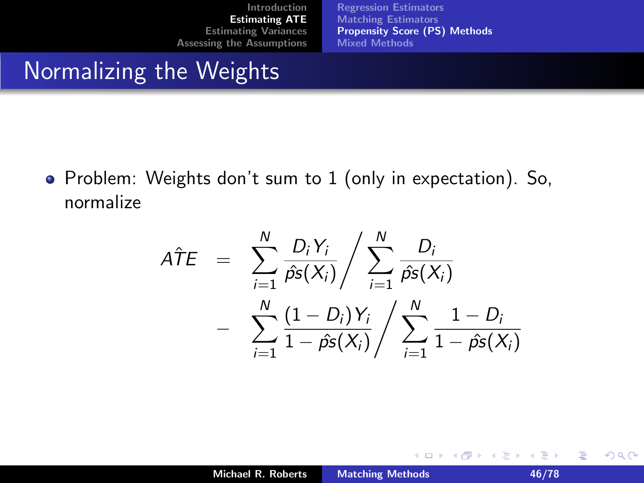[Regression Estimators](#page-22-0) [Matching Estimators](#page-36-0) [Propensity Score \(PS\) Methods](#page-40-0) [Mixed Methods](#page-54-0)

#### Normalizing the Weights

Problem: Weights don't sum to 1 (only in expectation). So, normalize

$$
A\hat{T}E = \sum_{i=1}^{N} \frac{D_i Y_i}{\hat{p}s(X_i)} / \sum_{i=1}^{N} \frac{D_i}{\hat{p}s(X_i)} - \sum_{i=1}^{N} \frac{(1 - D_i)Y_i}{1 - \hat{p}s(X_i)} / \sum_{i=1}^{N} \frac{1 - D_i}{1 - \hat{p}s(X_i)}
$$

重

 $2Q$ 

K ロ ⊁ K 倒 ≯ K ミ ⊁ K ミ ⊁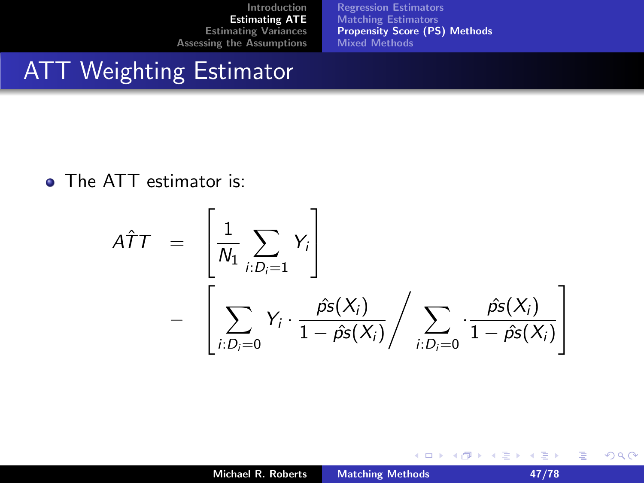[Regression Estimators](#page-22-0) [Matching Estimators](#page-36-0) [Propensity Score \(PS\) Methods](#page-40-0) [Mixed Methods](#page-54-0)

#### ATT Weighting Estimator

**o** The ATT estimator is:

$$
A\hat{T}T = \left[\frac{1}{N_1} \sum_{i:D_i=1} Y_i\right]
$$

$$
- \left[\sum_{i:D_i=0} Y_i \cdot \frac{\hat{ps}(X_i)}{1-\hat{ps}(X_i)} / \sum_{i:D_i=0} \cdot \frac{\hat{ps}(X_i)}{1-\hat{ps}(X_i)}\right]
$$

重

 $2Q$ 

K ロ ▶ K 御 ▶ K 君 ▶ K 君 ▶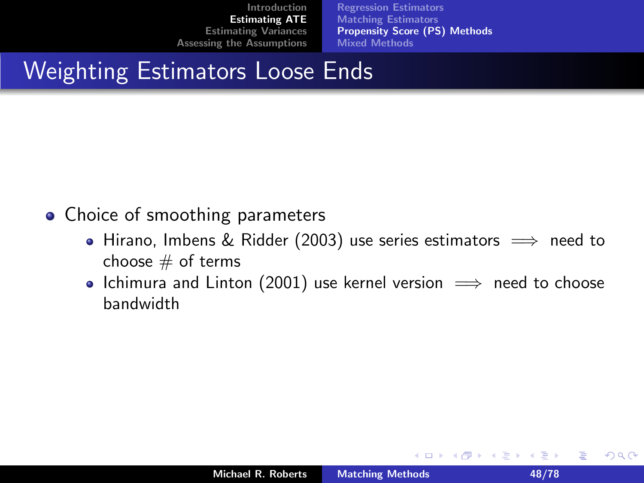[Regression Estimators](#page-22-0) [Matching Estimators](#page-36-0) [Propensity Score \(PS\) Methods](#page-40-0) [Mixed Methods](#page-54-0)

## Weighting Estimators Loose Ends

- Choice of smoothing parameters
	- Hirano, Imbens & Ridder (2003) use series estimators  $\implies$  need to choose  $#$  of terms
	- Ichimura and Linton (2001) use kernel version  $\implies$  need to choose bandwidth

 $2Q$ 

目

ミド メモド

K ロ ▶ K 倒 ▶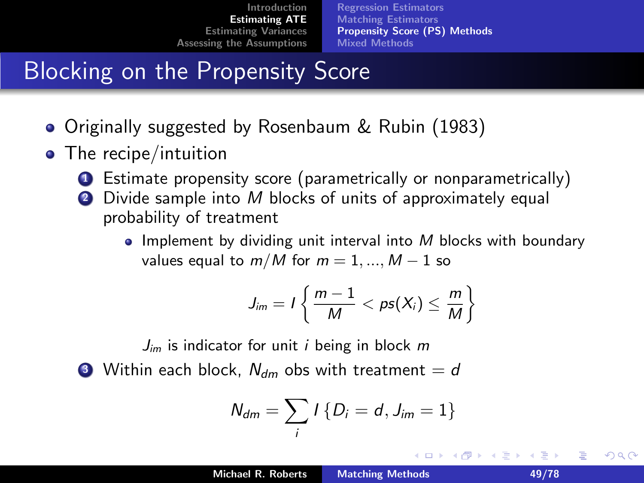[Regression Estimators](#page-22-0) [Matching Estimators](#page-36-0) [Propensity Score \(PS\) Methods](#page-40-0) [Mixed Methods](#page-54-0)

# Blocking on the Propensity Score

- Originally suggested by Rosenbaum & Rubin (1983)
- The recipe/intuition
	- **1** Estimate propensity score (parametrically or nonparametrically)
	- 2 Divide sample into M blocks of units of approximately equal probability of treatment
		- Implement by dividing unit interval into  $M$  blocks with boundary values equal to  $m/M$  for  $m = 1, ..., M - 1$  so

$$
J_{im}=I\left\{\frac{m-1}{M}
$$

 $J_{im}$  is indicator for unit *i* being in block m

**3** Within each block,  $N_{dm}$  obs with treatment  $= d$ 

$$
N_{dm}=\sum_i I\{D_i=d,J_{im}=1\}
$$

すきわ すきわ

つへへ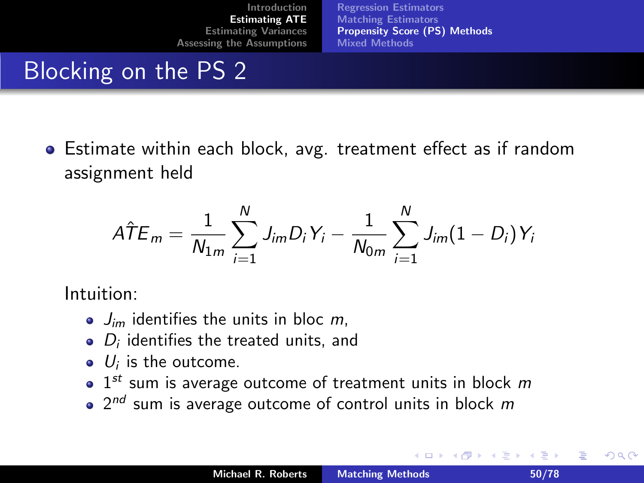[Regression Estimators](#page-22-0) [Matching Estimators](#page-36-0) [Propensity Score \(PS\) Methods](#page-40-0) [Mixed Methods](#page-54-0)

# Blocking on the PS 2

Estimate within each block, avg. treatment effect as if random assignment held

$$
\hat{ATE}_{m} = \frac{1}{N_{1m}} \sum_{i=1}^{N} J_{im} D_{i} Y_{i} - \frac{1}{N_{0m}} \sum_{i=1}^{N} J_{im} (1 - D_{i}) Y_{i}
$$

Intuition:

- $\bullet$   $J_{im}$  identifies the units in bloc m,
- $D_i$  identifies the treated units, and
- $U_i$  is the outcome.
- $1^{st}$  sum is average outcome of treatment units in block m
- $2^{nd}$  sum is average outcome of control units in block  $m$

つへへ

경어 지경이

 $\leftarrow$   $\cap$   $\rightarrow$   $\leftarrow$   $\cap$   $\rightarrow$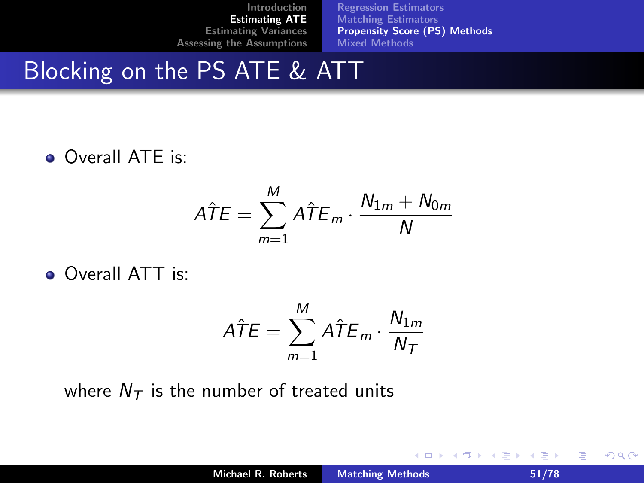[Regression Estimators](#page-22-0) [Matching Estimators](#page-36-0) [Propensity Score \(PS\) Methods](#page-40-0) [Mixed Methods](#page-54-0)

#### Blocking on the PS ATE & ATT

• Overall ATE is:

$$
\hat{ATE} = \sum_{m=1}^{M} \hat{ATE}_{m} \cdot \frac{N_{1m} + N_{0m}}{N}
$$

• Overall ATT is:

$$
\hat{ATE} = \sum_{m=1}^{M} \hat{ATE}_{m} \cdot \frac{N_{1m}}{N_{T}}
$$

where  $N<sub>T</sub>$  is the number of treated units

重

 $2Q$ 

K ロ ⊁ K 倒 ≯ K ミ ⊁ K ミ ⊁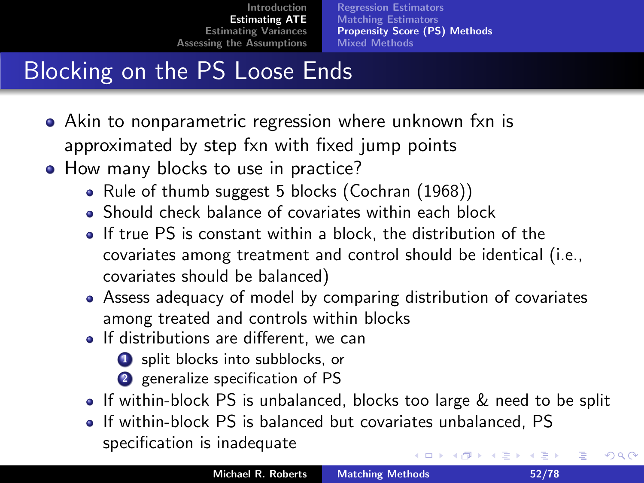[Regression Estimators](#page-22-0) [Matching Estimators](#page-36-0) [Propensity Score \(PS\) Methods](#page-40-0) [Mixed Methods](#page-54-0)

# Blocking on the PS Loose Ends

- Akin to nonparametric regression where unknown fxn is approximated by step fxn with fixed jump points
- How many blocks to use in practice?
	- Rule of thumb suggest 5 blocks (Cochran (1968))
	- Should check balance of covariates within each block
	- If true PS is constant within a block, the distribution of the covariates among treatment and control should be identical (i.e., covariates should be balanced)
	- Assess adequacy of model by comparing distribution of covariates among treated and controls within blocks
	- If distributions are different, we can
		- **1** split blocks into subblocks, or
		- 2 generalize specification of PS
	- If within-block PS is unbalanced, blocks too large  $\&$  need to be split
	- If within-block PS is balanced but covariates unbalanced, PS specification is inadequate メロメ メ御 メメ ミメ メミメ

つへへ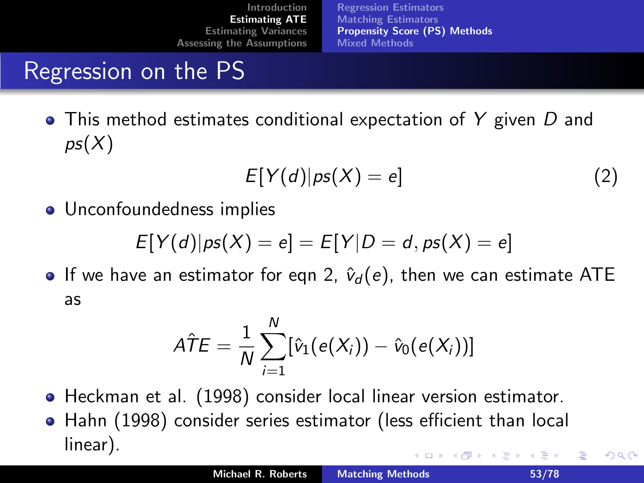[Regression Estimators](#page-22-0) [Matching Estimators](#page-36-0) [Propensity Score \(PS\) Methods](#page-40-0) [Mixed Methods](#page-54-0)

## Regression on the PS

 $\bullet$  This method estimates conditional expectation of Y given D and  $pS(X)$ 

<span id="page-52-0"></span>
$$
E[Y(d)|ps(X) = e]
$$
 (2)

• Unconfoundedness implies

$$
E[Y(d)|ps(X) = e] = E[Y|D = d, ps(X) = e]
$$

**If** we have an estimator for eqn [2,](#page-52-0)  $\hat{v}_d(e)$ , then we can estimate ATE as

$$
\hat{\mathcal{ATE}} = \frac{1}{N} \sum_{i=1}^N [\hat{v}_1(e(X_i)) - \hat{v}_0(e(X_i))]
$$

- Heckman et al. (1998) consider local linear version estimator.
- Hahn (1998) consider series estimator (less efficient than local linear). 重き メミメ  $\leftarrow$   $\cap$   $\rightarrow$   $\leftarrow$   $\cap$   $\rightarrow$

へのへ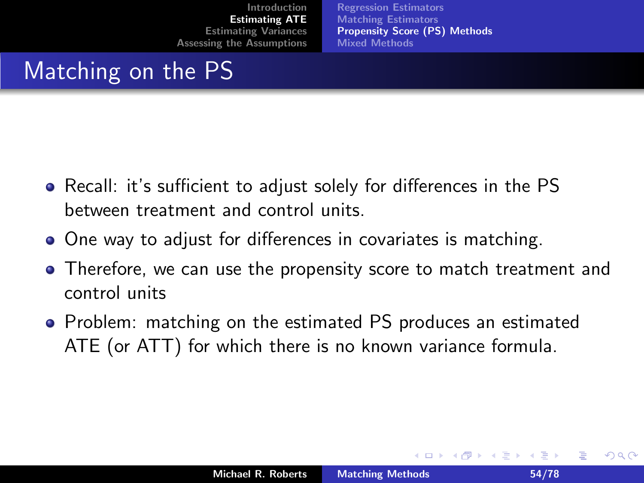[Regression Estimators](#page-22-0) [Matching Estimators](#page-36-0) [Propensity Score \(PS\) Methods](#page-40-0) [Mixed Methods](#page-54-0)

# Matching on the PS

- Recall: it's sufficient to adjust solely for differences in the PS between treatment and control units.
- One way to adjust for differences in covariates is matching.
- Therefore, we can use the propensity score to match treatment and control units
- Problem: matching on the estimated PS produces an estimated ATE (or ATT) for which there is no known variance formula.

<span id="page-53-0"></span>つへへ

造る メ告ず

 $\leftarrow$   $\cap$   $\rightarrow$   $\leftarrow$   $\cap$   $\rightarrow$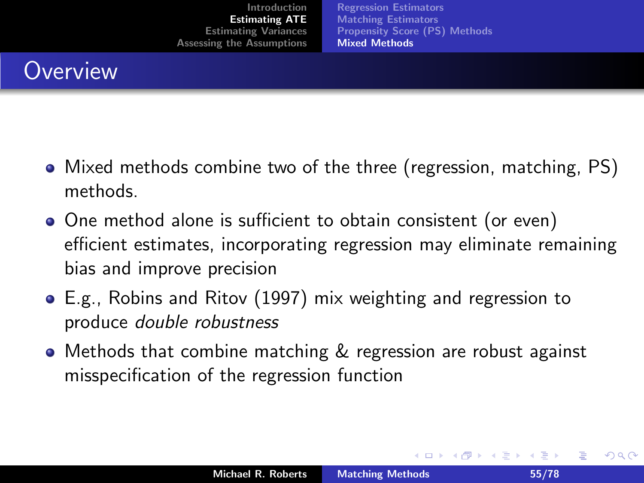[Regression Estimators](#page-22-0) [Matching Estimators](#page-36-0) [Propensity Score \(PS\) Methods](#page-40-0) [Mixed Methods](#page-54-0)

## **Overview**

- Mixed methods combine two of the three (regression, matching, PS) methods.
- One method alone is sufficient to obtain consistent (or even) efficient estimates, incorporating regression may eliminate remaining bias and improve precision
- E.g., Robins and Ritov (1997) mix weighting and regression to produce double robustness
- **•** Methods that combine matching & regression are robust against misspecification of the regression function

<span id="page-54-0"></span>つへへ

メロメ メ御 メメミメメ ミメ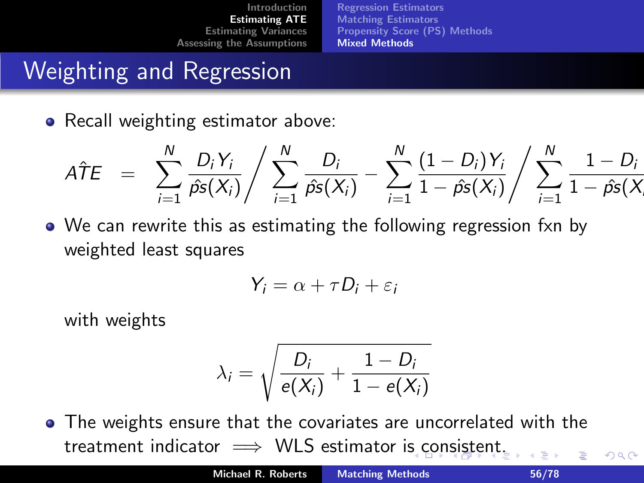[Regression Estimators](#page-22-0) [Matching Estimators](#page-36-0) [Propensity Score \(PS\) Methods](#page-40-0) [Mixed Methods](#page-54-0)

# Weighting and Regression

• Recall weighting estimator above:

$$
\hat{ATE} = \sum_{i=1}^{N} \frac{D_i Y_i}{\hat{p} s(X_i)} / \sum_{i=1}^{N} \frac{D_i}{\hat{p} s(X_i)} - \sum_{i=1}^{N} \frac{(1 - D_i) Y_i}{1 - \hat{p} s(X_i)} / \sum_{i=1}^{N} \frac{1 - D_i}{1 - \hat{p} s(X_i)}
$$

• We can rewrite this as estimating the following regression fxn by weighted least squares

$$
Y_i = \alpha + \tau D_i + \varepsilon_i
$$

with weights

$$
\lambda_i = \sqrt{\frac{D_i}{e(X_i)} + \frac{1 - D_i}{1 - e(X_i)}}
$$

The weights ensure that the covariates are uncorrelated with the tr[e](#page-56-0)atme[n](#page-53-0)t indicator  $\implies$  $\implies$  WLS estimator i[s c](#page-54-0)[on](#page-56-0)s[ist](#page-55-0)en[t.](#page-54-0)

<span id="page-55-0"></span> $\Omega$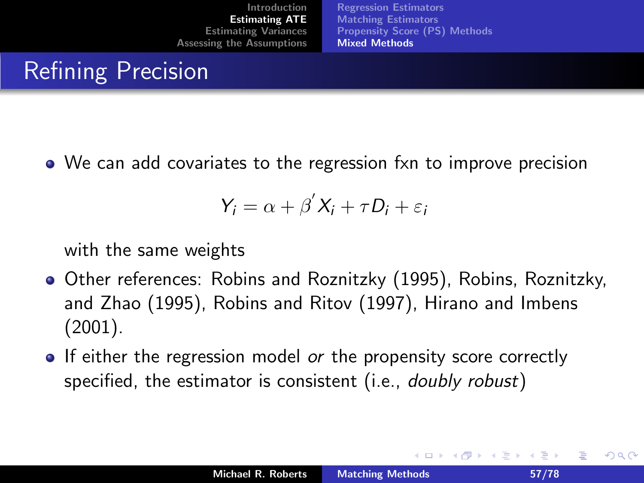[Regression Estimators](#page-22-0) [Matching Estimators](#page-36-0) [Propensity Score \(PS\) Methods](#page-40-0) [Mixed Methods](#page-54-0)

#### Refining Precision

We can add covariates to the regression fxn to improve precision

$$
Y_i = \alpha + \beta' X_i + \tau D_i + \varepsilon_i
$$

with the same weights

- Other references: Robins and Roznitzky (1995), Robins, Roznitzky, and Zhao (1995), Robins and Ritov (1997), Hirano and Imbens (2001).
- If either the regression model or the propensity score correctly specified, the estimator is consistent (i.e., *doubly robust*)

<span id="page-56-0"></span>へのへ

경어 지경이

 $\leftarrow$   $\cap$   $\rightarrow$   $\leftarrow$   $\cap$   $\rightarrow$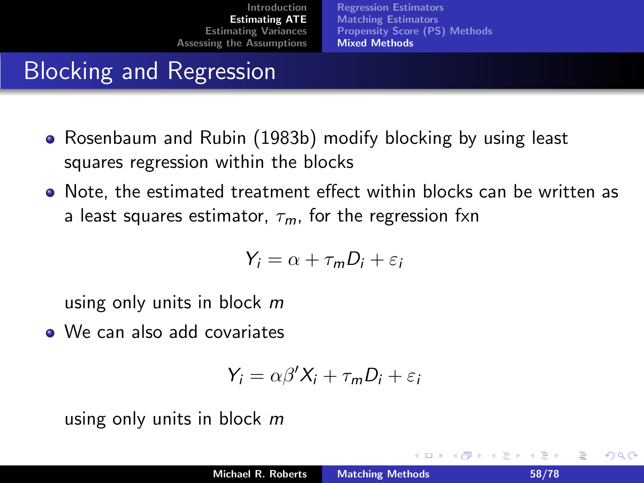[Regression Estimators](#page-22-0) [Matching Estimators](#page-36-0) [Propensity Score \(PS\) Methods](#page-40-0) [Mixed Methods](#page-54-0)

# Blocking and Regression

- Rosenbaum and Rubin (1983b) modify blocking by using least squares regression within the blocks
- Note, the estimated treatment effect within blocks can be written as a least squares estimator,  $\tau_m$ , for the regression fxn

$$
Y_i = \alpha + \tau_m D_i + \varepsilon_i
$$

using only units in block m

• We can also add covariates

$$
Y_i = \alpha \beta' X_i + \tau_m D_i + \varepsilon_i
$$

using only units in block m

<span id="page-57-0"></span>つへへ

 $\leftarrow$   $\cap$   $\rightarrow$   $\rightarrow$   $\cap$   $\rightarrow$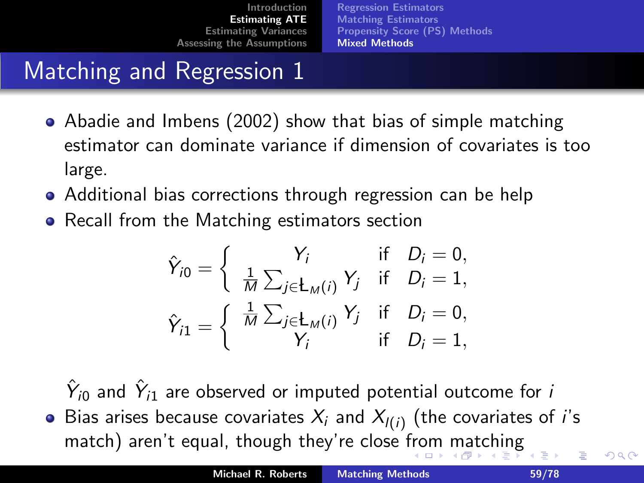[Regression Estimators](#page-22-0) [Matching Estimators](#page-36-0) [Propensity Score \(PS\) Methods](#page-40-0) [Mixed Methods](#page-54-0)

# Matching and Regression 1

- Abadie and Imbens (2002) show that bias of simple matching estimator can dominate variance if dimension of covariates is too large.
- Additional bias corrections through regression can be help
- Recall from the Matching estimators section

$$
\hat{Y}_{i0} = \begin{cases}\nY_i & \text{if } D_i = 0, \\
\frac{1}{M} \sum_{j \in L_M(i)} Y_j & \text{if } D_i = 1, \\
\hat{Y}_{i1} = \begin{cases}\n\frac{1}{M} \sum_{j \in L_M(i)} Y_j & \text{if } D_i = 0, \\
Y_i & \text{if } D_i = 1,\n\end{cases}
$$

 $\hat{Y}_{i0}$  and  $\hat{Y}_{i1}$  are observed or imputed potential outcome for  $i$ Bias arises because covariates  $X_i$  and  $X_{l(i)}$  (the covariates of i's match) aren't equal, though they're close [fro](#page-57-0)[m](#page-59-0) [m](#page-57-0)[a](#page-58-0)[tc](#page-59-0)[h](#page-53-0)[i](#page-54-0)[n](#page-63-0)[g](#page-64-0) ∢ 重う

<span id="page-58-0"></span> $\Omega$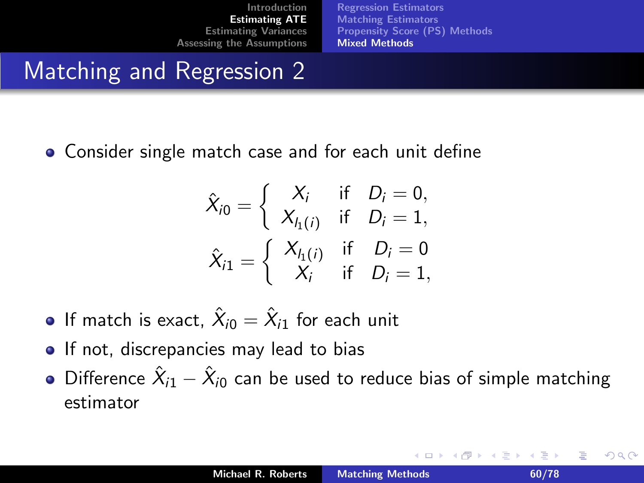[Regression Estimators](#page-22-0) [Matching Estimators](#page-36-0) [Propensity Score \(PS\) Methods](#page-40-0) [Mixed Methods](#page-54-0)

## Matching and Regression 2

Consider single match case and for each unit define

$$
\hat{X}_{i0} = \begin{cases}\nX_i & \text{if } D_i = 0, \\
X_{h(i)} & \text{if } D_i = 1, \\
X_{i1} = \begin{cases}\nX_{h(i)} & \text{if } D_i = 0 \\
X_i & \text{if } D_i = 1,\n\end{cases}\n\end{cases}
$$

- If match is exact,  $\hat X_{i0}=\hat X_{i1}$  for each unit
- **If not, discrepancies may lead to bias**
- Difference  $\hat{X}_{i1}-\hat{X}_{i0}$  can be used to reduce bias of simple matching estimator

<span id="page-59-0"></span>つへへ

K ロ ⊁ K 倒 ≯ K ミ ⊁ K ミ ⊁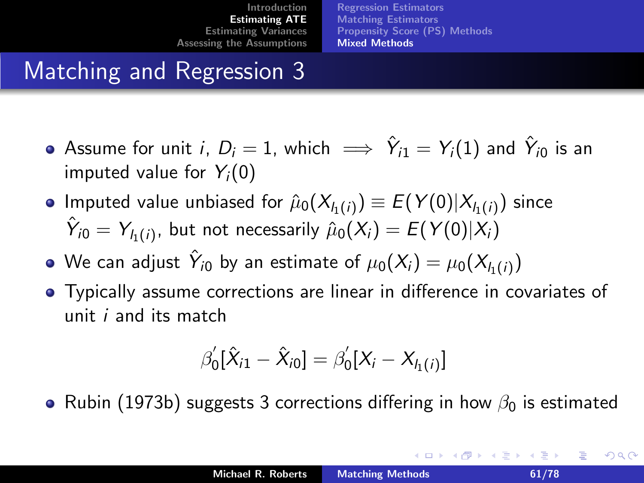[Regression Estimators](#page-22-0) [Matching Estimators](#page-36-0) [Propensity Score \(PS\) Methods](#page-40-0) [Mixed Methods](#page-54-0)

# Matching and Regression 3

- Assume for unit *i*,  $D_i=1$ , which  $\implies \hat{Y}_{i1}=Y_i(1)$  and  $\hat{Y}_{i0}$  is an imputed value for  $Y_i(0)$
- Imputed value unbiased for  $\hat{\mu}_0(X_{l_1(i)})\equiv E(Y(0)|X_{l_1(i)})$  since  $\hat{Y}_{i0} = Y_{l_1(i)}$ , but not necessarily  $\hat{\mu}_0(X_i) = E(Y(0)|X_i)$
- We can adjust  $\hat{Y}_{i0}$  by an estimate of  $\mu_0(X_i) = \mu_0(X_{h(i)})$
- Typically assume corrections are linear in difference in covariates of unit i and its match

$$
\beta_0'[\hat{X}_{i1} - \hat{X}_{i0}] = \beta_0'[X_i - X_{I_1(i)}]
$$

• Rubin (1973b) suggests 3 corrections differing in how  $\beta_0$  is estimated

へのへ

メロメ メ御 メメミメメミメ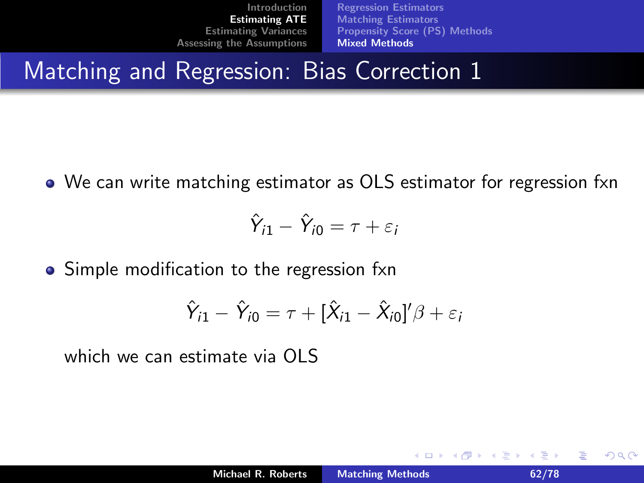[Regression Estimators](#page-22-0) [Matching Estimators](#page-36-0) [Propensity Score \(PS\) Methods](#page-40-0) [Mixed Methods](#page-54-0)

## Matching and Regression: Bias Correction 1

We can write matching estimator as OLS estimator for regression fxn

$$
\hat{Y}_{i1} - \hat{Y}_{i0} = \tau + \varepsilon_i
$$

• Simple modification to the regression fxn

$$
\hat{Y}_{i1} - \hat{Y}_{i0} = \tau + [\hat{X}_{i1} - \hat{X}_{i0}]'
$$

which we can estimate via OLS

つくい

**K ロ ▶ K 伊 ▶**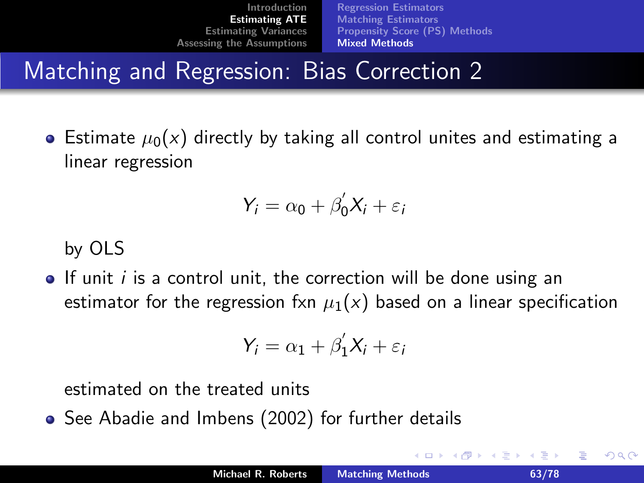[Regression Estimators](#page-22-0) [Matching Estimators](#page-36-0) [Propensity Score \(PS\) Methods](#page-40-0) [Mixed Methods](#page-54-0)

# Matching and Regression: Bias Correction 2

• Estimate  $\mu_0(x)$  directly by taking all control unites and estimating a linear regression

$$
Y_i = \alpha_0 + \beta'_0 X_i + \varepsilon_i
$$

by OLS

 $\bullet$  If unit *i* is a control unit, the correction will be done using an estimator for the regression fxn  $\mu_1(x)$  based on a linear specification

$$
Y_i = \alpha_1 + \beta_1' X_i + \varepsilon_i
$$

estimated on the treated units

• See Abadie and Imbens (2002) for further details

へのへ

 $\leftarrow$   $\cap$   $\rightarrow$   $\leftarrow$   $\cap$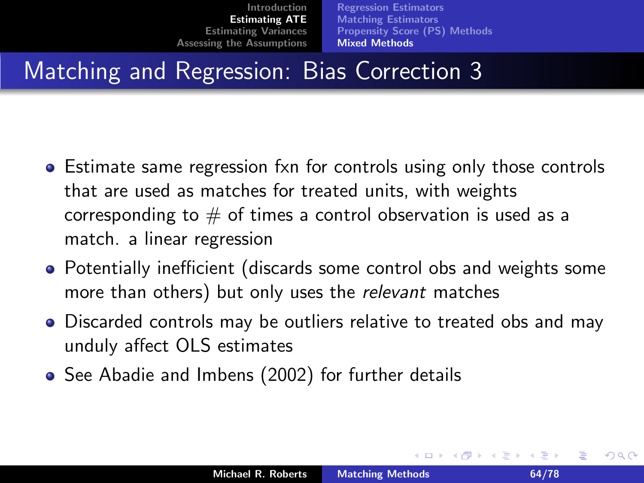[Regression Estimators](#page-22-0) [Matching Estimators](#page-36-0) [Propensity Score \(PS\) Methods](#page-40-0) [Mixed Methods](#page-54-0)

# Matching and Regression: Bias Correction 3

- Estimate same regression fxn for controls using only those controls that are used as matches for treated units, with weights corresponding to  $#$  of times a control observation is used as a match. a linear regression
- Potentially inefficient (discards some control obs and weights some more than others) but only uses the relevant matches
- Discarded controls may be outliers relative to treated obs and may unduly affect OLS estimates
- See Abadie and Imbens (2002) for further details

<span id="page-63-0"></span>へのへ

メロメ メ御 メメミメメミメ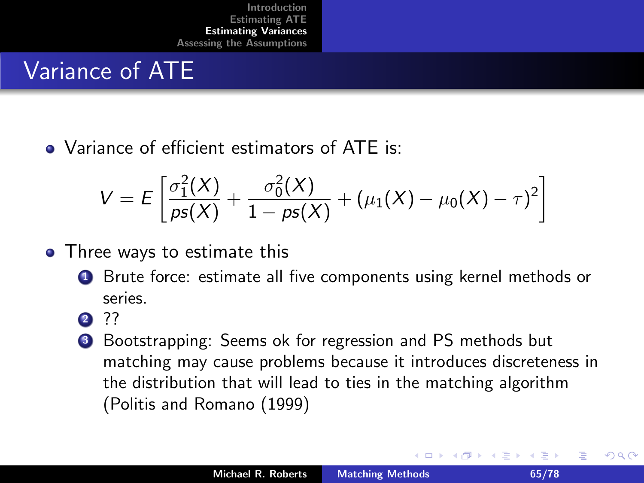#### Variance of ATE

• Variance of efficient estimators of ATE is:

$$
V = E\left[\frac{\sigma_1^2(X)}{\rho s(X)} + \frac{\sigma_0^2(X)}{1 - \rho s(X)} + (\mu_1(X) - \mu_0(X) - \tau)^2\right]
$$

- Three ways to estimate this
	- **1** Brute force: estimate all five components using kernel methods or series.
	- **2** ??
	- **3** Bootstrapping: Seems ok for regression and PS methods but matching may cause problems because it introduces discreteness in the distribution that will lead to ties in the matching algorithm (Politis and Romano (1999)

<span id="page-64-0"></span>へのへ

澄後 メ澄き

 $\leftarrow$   $\cap$   $\rightarrow$   $\leftarrow$   $\cap$   $\rightarrow$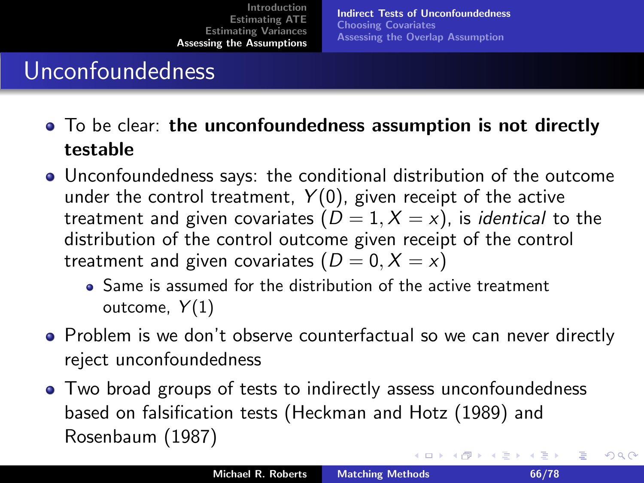[Indirect Tests of Unconfoundedness](#page-65-0) [Choosing Covariates](#page-68-0) [Assessing the Overlap Assumption](#page-69-0)

#### Unconfoundedness

- To be clear: the unconfoundedness assumption is not directly testable
- Unconfoundedness says: the conditional distribution of the outcome under the control treatment,  $Y(0)$ , given receipt of the active treatment and given covariates  $(D = 1, X = x)$ , is *identical* to the distribution of the control outcome given receipt of the control treatment and given covariates  $(D = 0, X = x)$ 
	- Same is assumed for the distribution of the active treatment outcome,  $Y(1)$
- Problem is we don't observe counterfactual so we can never directly reject unconfoundedness
- Two broad groups of tests to indirectly assess unconfoundedness based on falsification tests (Heckman and Hotz (1989) and Rosenbaum (1987)

<span id="page-65-0"></span>へのへ

K ロ ⊁ K 倒 ≯ K ミ ⊁ K ミ ⊁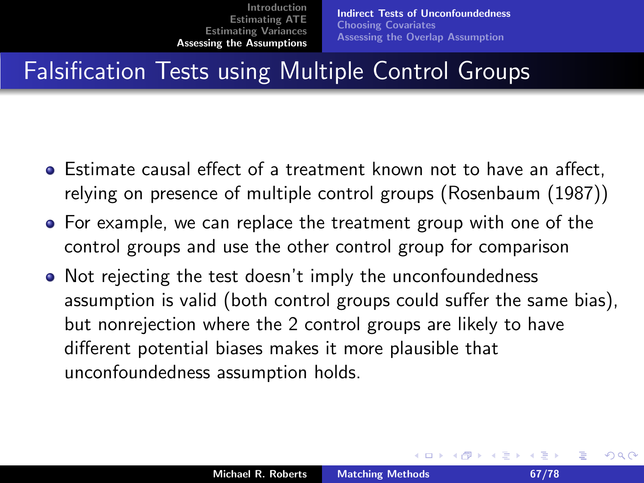# Falsification Tests using Multiple Control Groups

- $\bullet$  Estimate causal effect of a treatment known not to have an affect, relying on presence of multiple control groups (Rosenbaum (1987))
- For example, we can replace the treatment group with one of the control groups and use the other control group for comparison
- Not rejecting the test doesn't imply the unconfoundedness assumption is valid (both control groups could suffer the same bias), but nonrejection where the 2 control groups are likely to have different potential biases makes it more plausible that unconfoundedness assumption holds.

へのへ

イロト イ母 トイラト イラト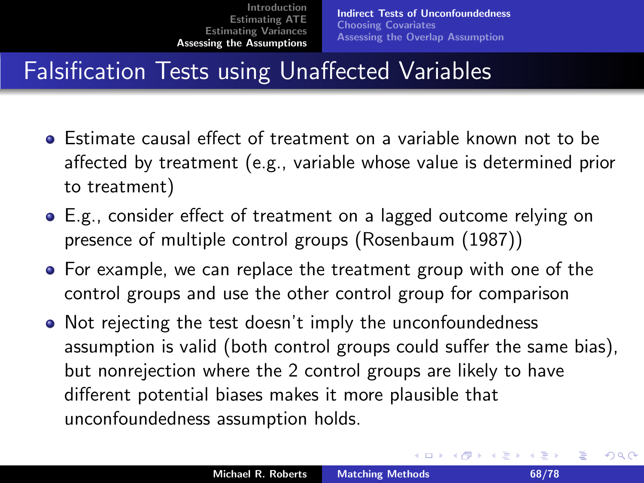# Falsification Tests using Unaffected Variables

- Estimate causal effect of treatment on a variable known not to be affected by treatment (e.g., variable whose value is determined prior to treatment)
- E.g., consider effect of treatment on a lagged outcome relying on presence of multiple control groups (Rosenbaum (1987))
- For example, we can replace the treatment group with one of the control groups and use the other control group for comparison
- Not rejecting the test doesn't imply the unconfoundedness assumption is valid (both control groups could suffer the same bias), but nonrejection where the 2 control groups are likely to have different potential biases makes it more plausible that unconfoundedness assumption holds.

つくい

K ロ ⊁ K 倒 ≯ K ミ ⊁ K ミ ⊁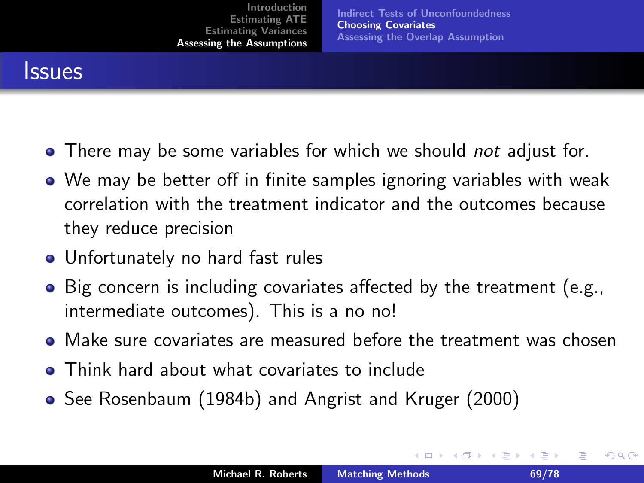[Indirect Tests of Unconfoundedness](#page-65-0) [Choosing Covariates](#page-68-0) [Assessing the Overlap Assumption](#page-69-0)

#### **Issues**

- There may be some variables for which we should not adjust for.
- We may be better off in finite samples ignoring variables with weak correlation with the treatment indicator and the outcomes because they reduce precision
- Unfortunately no hard fast rules
- Big concern is including covariates affected by the treatment (e.g., intermediate outcomes). This is a no no!
- Make sure covariates are measured before the treatment was chosen
- **Think hard about what covariates to include**
- See Rosenbaum (1984b) and Angrist and Kruger (2000)

<span id="page-68-0"></span>つくい

K ロ ⊁ K 倒 ≯ K ミ ⊁ K ミ ⊁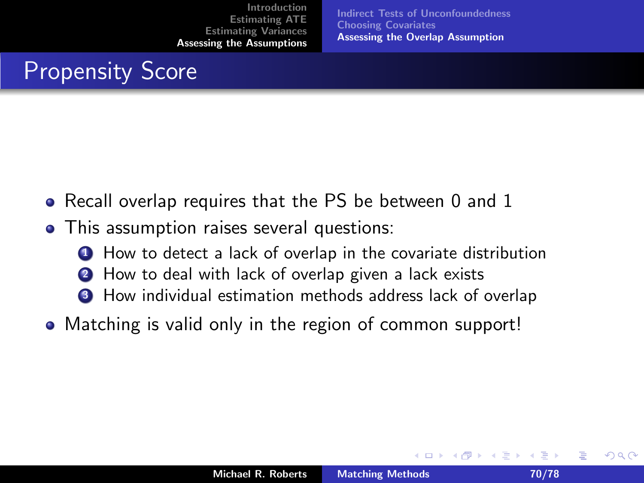[Indirect Tests of Unconfoundedness](#page-65-0) [Choosing Covariates](#page-68-0) [Assessing the Overlap Assumption](#page-69-0)

 $\leftarrow$   $\Box$ 

# Propensity Score

- Recall overlap requires that the PS be between 0 and 1
- This assumption raises several questions:
	- **1** How to detect a lack of overlap in the covariate distribution
	- <sup>2</sup> How to deal with lack of overlap given a lack exists
	- <sup>3</sup> How individual estimation methods address lack of overlap
- Matching is valid only in the region of common support!

<span id="page-69-0"></span>つくい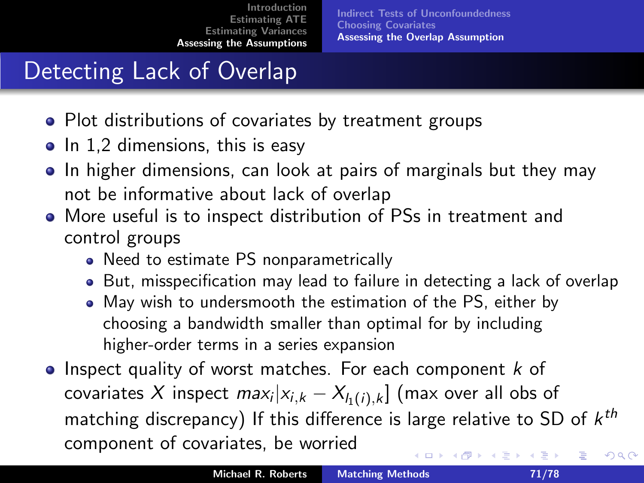# Detecting Lack of Overlap

- Plot distributions of covariates by treatment groups
- $\bullet$  In 1,2 dimensions, this is easy
- In higher dimensions, can look at pairs of marginals but they may not be informative about lack of overlap
- More useful is to inspect distribution of PSs in treatment and control groups
	- Need to estimate PS nonparametrically
	- But, misspecification may lead to failure in detecting a lack of overlap
	- May wish to undersmooth the estimation of the PS, either by choosing a bandwidth smaller than optimal for by including higher-order terms in a series expansion
- $\bullet$  Inspect quality of worst matches. For each component k of covariates  $X$  inspect  $max_{i}|x_{i,k}-X_{l_1(i),k}|\ ($ max over all obs of matching discrepancy) If this difference is large relative to SD of  $k^{th}$ component of covariates, be worried ∢ロト ∢母 ▶ ∢ ヨ ▶ ∢ ヨ ▶ へのへ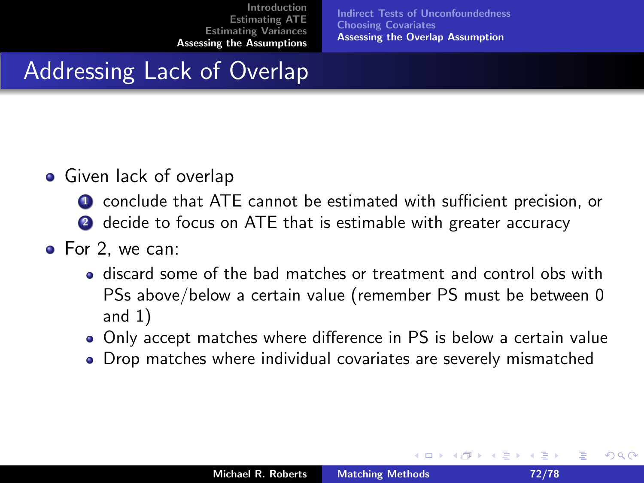[Indirect Tests of Unconfoundedness](#page-65-0) [Choosing Covariates](#page-68-0) [Assessing the Overlap Assumption](#page-69-0)

## Addressing Lack of Overlap

- Given lack of overlap
	- **1** conclude that ATE cannot be estimated with sufficient precision, or
	- **2** decide to focus on ATE that is estimable with greater accuracy
- For 2, we can:
	- discard some of the bad matches or treatment and control obs with PSs above/below a certain value (remember PS must be between 0 and 1)
	- Only accept matches where difference in PS is below a certain value
	- Drop matches where individual covariates are severely mismatched

へのへ

メミメ メミメ

 $\leftarrow$   $\cap$   $\rightarrow$   $\leftarrow$   $\cap$   $\rightarrow$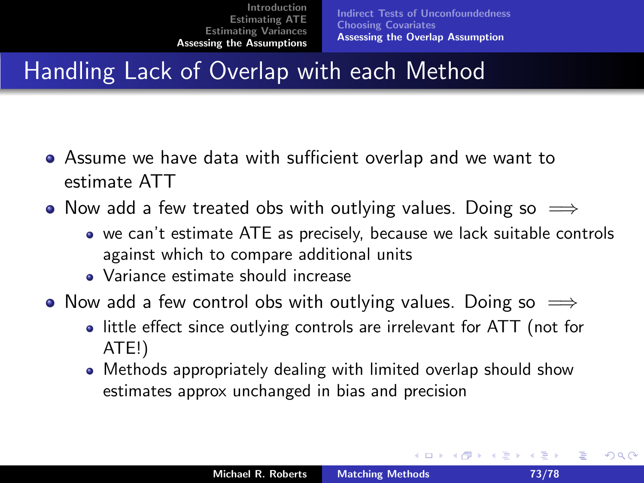## Handling Lack of Overlap with each Method

- Assume we have data with sufficient overlap and we want to estimate ATT
- Now add a few treated obs with outlying values. Doing so  $\implies$ 
	- we can't estimate ATE as precisely, because we lack suitable controls against which to compare additional units
	- Variance estimate should increase
- Now add a few control obs with outlying values. Doing so  $\implies$ 
	- little effect since outlying controls are irrelevant for ATT (not for ATE!)
	- Methods appropriately dealing with limited overlap should show estimates approx unchanged in bias and precision

へのへ

K ロ ⊁ K 倒 ≯ K ミ ⊁ K ミ ≯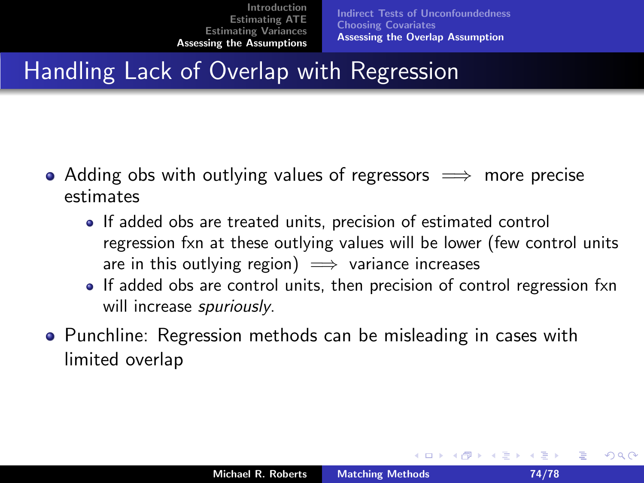[Indirect Tests of Unconfoundedness](#page-65-0) [Choosing Covariates](#page-68-0) [Assessing the Overlap Assumption](#page-69-0)

## Handling Lack of Overlap with Regression

- Adding obs with outlying values of regressors  $\implies$  more precise estimates
	- If added obs are treated units, precision of estimated control regression fxn at these outlying values will be lower (few control units are in this outlying region)  $\implies$  variance increases
	- If added obs are control units, then precision of control regression fxn will increase *spuriously*.
- **•** Punchline: Regression methods can be misleading in cases with limited overlap

へのへ

K ロ ⊁ K 倒 ≯ K ミ ⊁ K ミ ≯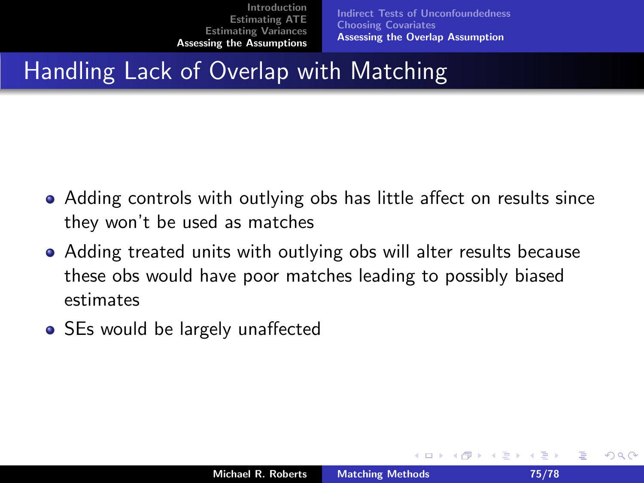[Indirect Tests of Unconfoundedness](#page-65-0) [Choosing Covariates](#page-68-0) [Assessing the Overlap Assumption](#page-69-0)

## Handling Lack of Overlap with Matching

- Adding controls with outlying obs has little affect on results since they won't be used as matches
- Adding treated units with outlying obs will alter results because these obs would have poor matches leading to possibly biased estimates
- SEs would be largely unaffected

へのへ

 $\leftarrow$   $\cap$   $\rightarrow$   $\leftarrow$   $\cap$   $\rightarrow$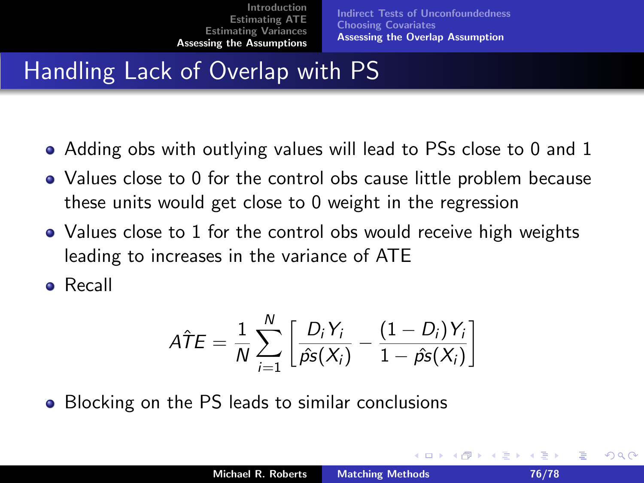[Indirect Tests of Unconfoundedness](#page-65-0) [Choosing Covariates](#page-68-0) [Assessing the Overlap Assumption](#page-69-0)

# Handling Lack of Overlap with PS

- Adding obs with outlying values will lead to PSs close to 0 and 1
- Values close to 0 for the control obs cause little problem because these units would get close to 0 weight in the regression
- Values close to 1 for the control obs would receive high weights leading to increases in the variance of ATE

Recall

$$
\hat{ATE} = \frac{1}{N} \sum_{i=1}^{N} \left[ \frac{D_i Y_i}{\hat{ps}(X_i)} - \frac{(1 - D_i) Y_i}{1 - \hat{ps}(X_i)} \right]
$$

• Blocking on the PS leads to similar conclusions

つくい

K ロ ⊁ K 倒 ≯ K ミ ⊁ K ミ ≯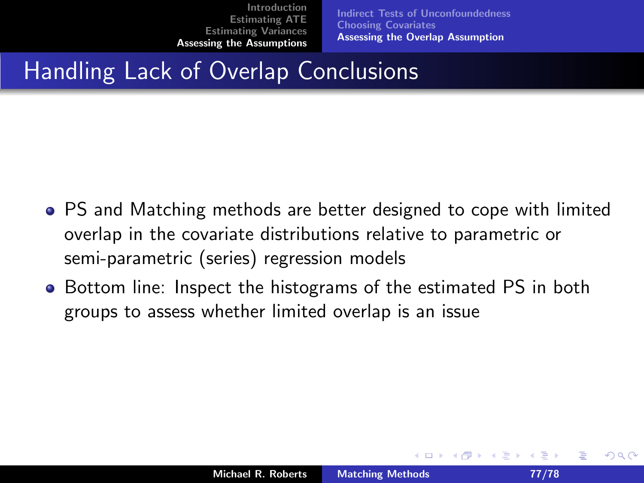[Indirect Tests of Unconfoundedness](#page-65-0) [Choosing Covariates](#page-68-0) [Assessing the Overlap Assumption](#page-69-0)

## Handling Lack of Overlap Conclusions

- PS and Matching methods are better designed to cope with limited overlap in the covariate distributions relative to parametric or semi-parametric (series) regression models
- Bottom line: Inspect the histograms of the estimated PS in both groups to assess whether limited overlap is an issue

へのへ

 $\leftarrow$   $\cap$   $\rightarrow$   $\leftarrow$   $\cap$   $\rightarrow$